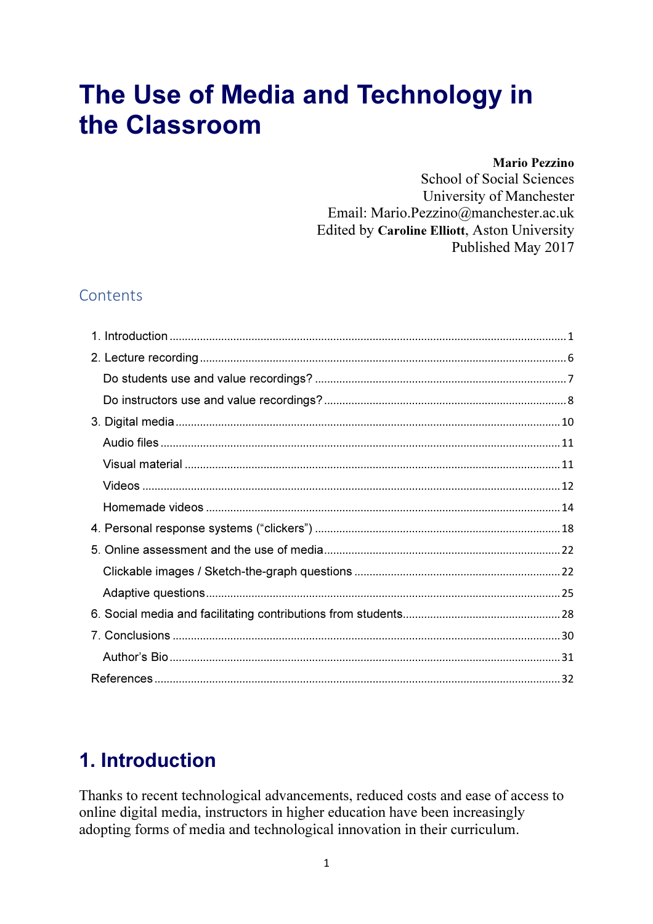# The Use of Media and Technology in the Classroom

#### **Mario Pezzino**

**School of Social Sciences** University of Manchester Email: Mario.Pezzino@manchester.ac.uk Edited by Caroline Elliott, Aston University Published May 2017

### Contents

# 1. Introduction

Thanks to recent technological advancements, reduced costs and ease of access to online digital media, instructors in higher education have been increasingly adopting forms of media and technological innovation in their curriculum.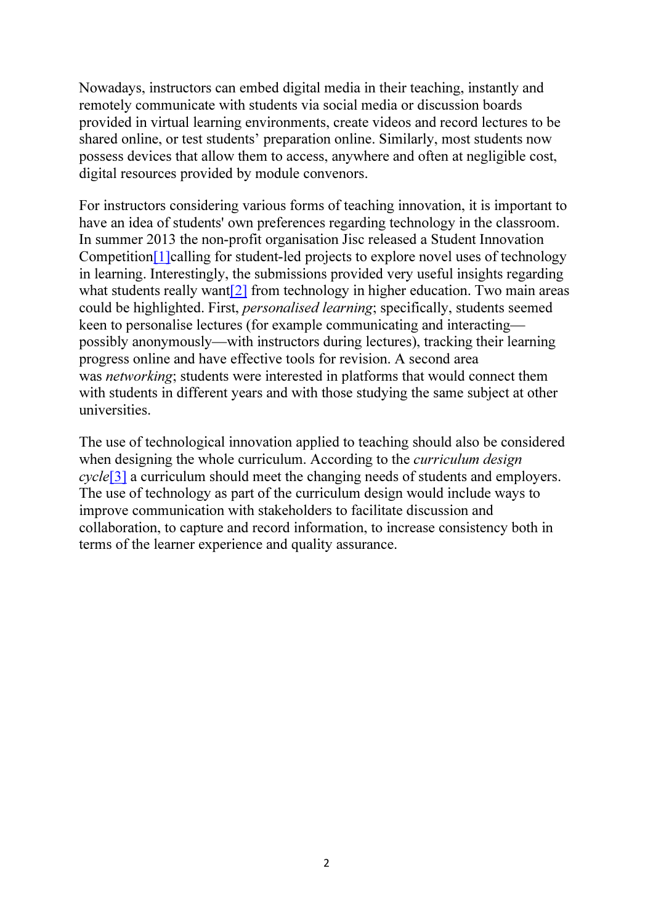Nowadays, instructors can embed digital media in their teaching, instantly and remotely communicate with students via social media or discussion boards provided in virtual learning environments, create videos and record lectures to be shared online, or test students' preparation online. Similarly, most students now possess devices that allow them to access, anywhere and often at negligible cost, digital resources provided by module convenors.

For instructors considering various forms of teaching innovation, it is important to have an idea of students' own preferences regarding technology in the classroom. In summer 2013 the non-profit organisation Jisc released a Student Innovation Competition<sup>[1]</sup>calling for student-led projects to explore novel uses of technology in learning. Interestingly, the submissions provided very useful insights regarding what students really want<sup>[2]</sup> from technology in higher education. Two main areas could be highlighted. First, *personalised learning*; specifically, students seemed keen to personalise lectures (for example communicating and interacting possibly anonymously—with instructors during lectures), tracking their learning progress online and have effective tools for revision. A second area was *networking*; students were interested in platforms that would connect them with students in different years and with those studying the same subject at other universities.

The use of technological innovation applied to teaching should also be considered when designing the whole curriculum. According to the *curriculum design cycle*[3] a curriculum should meet the changing needs of students and employers. The use of technology as part of the curriculum design would include ways to improve communication with stakeholders to facilitate discussion and collaboration, to capture and record information, to increase consistency both in terms of the learner experience and quality assurance.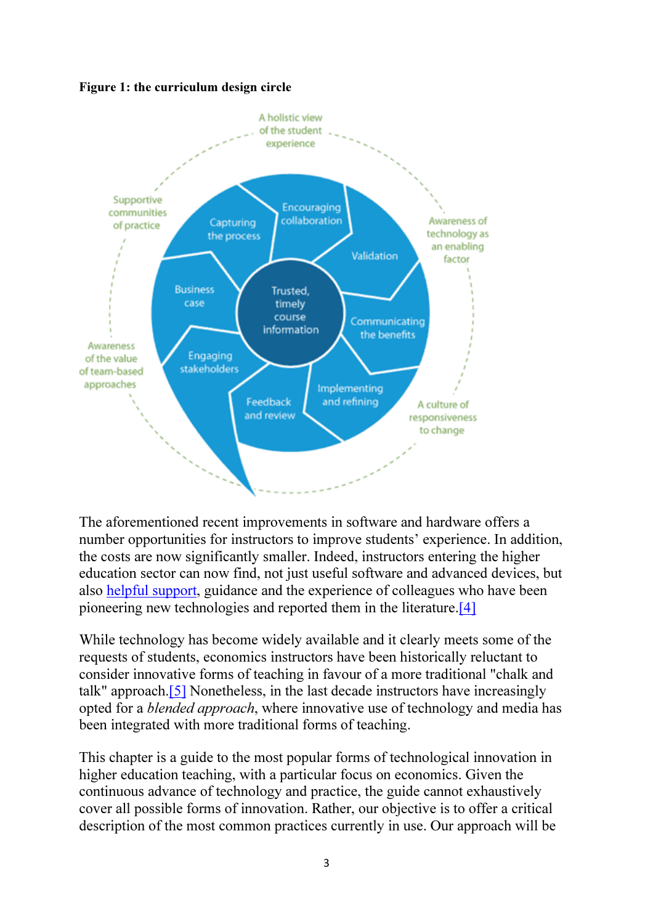Figure 1: the curriculum design circle



The aforementioned recent improvements in software and hardware offers a number opportunities for instructors to improve students' experience. In addition, the costs are now significantly smaller. Indeed, instructors entering the higher education sector can now find, not just useful software and advanced devices, but also helpful support, guidance and the experience of colleagues who have been pioneering new technologies and reported them in the literature.[4]

While technology has become widely available and it clearly meets some of the requests of students, economics instructors have been historically reluctant to consider innovative forms of teaching in favour of a more traditional "chalk and talk" approach.[5] Nonetheless, in the last decade instructors have increasingly opted for a *blended approach*, where innovative use of technology and media has been integrated with more traditional forms of teaching.

This chapter is a guide to the most popular forms of technological innovation in higher education teaching, with a particular focus on economics. Given the continuous advance of technology and practice, the guide cannot exhaustively cover all possible forms of innovation. Rather, our objective is to offer a critical description of the most common practices currently in use. Our approach will be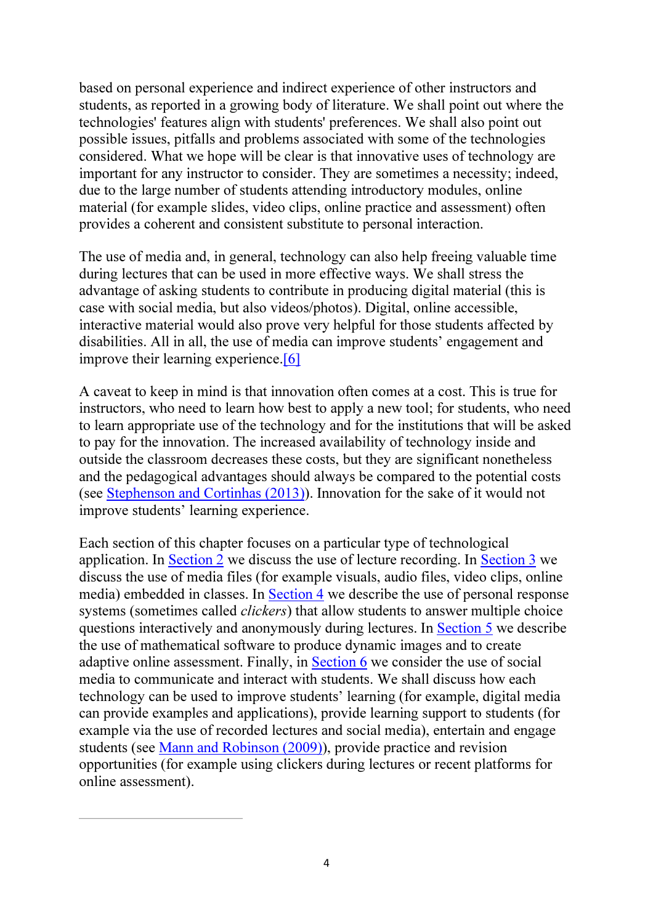based on personal experience and indirect experience of other instructors and students, as reported in a growing body of literature. We shall point out where the technologies' features align with students' preferences. We shall also point out possible issues, pitfalls and problems associated with some of the technologies considered. What we hope will be clear is that innovative uses of technology are important for any instructor to consider. They are sometimes a necessity; indeed, due to the large number of students attending introductory modules, online material (for example slides, video clips, online practice and assessment) often provides a coherent and consistent substitute to personal interaction.

The use of media and, in general, technology can also help freeing valuable time during lectures that can be used in more effective ways. We shall stress the advantage of asking students to contribute in producing digital material (this is case with social media, but also videos/photos). Digital, online accessible, interactive material would also prove very helpful for those students affected by disabilities. All in all, the use of media can improve students' engagement and improve their learning experience.[6]

A caveat to keep in mind is that innovation often comes at a cost. This is true for instructors, who need to learn how best to apply a new tool; for students, who need to learn appropriate use of the technology and for the institutions that will be asked to pay for the innovation. The increased availability of technology inside and outside the classroom decreases these costs, but they are significant nonetheless and the pedagogical advantages should always be compared to the potential costs (see Stephenson and Cortinhas (2013)). Innovation for the sake of it would not improve students' learning experience.

Each section of this chapter focuses on a particular type of technological application. In Section 2 we discuss the use of lecture recording. In Section 3 we discuss the use of media files (for example visuals, audio files, video clips, online media) embedded in classes. In Section 4 we describe the use of personal response systems (sometimes called *clickers*) that allow students to answer multiple choice questions interactively and anonymously during lectures. In Section 5 we describe the use of mathematical software to produce dynamic images and to create adaptive online assessment. Finally, in Section 6 we consider the use of social media to communicate and interact with students. We shall discuss how each technology can be used to improve students' learning (for example, digital media can provide examples and applications), provide learning support to students (for example via the use of recorded lectures and social media), entertain and engage students (see Mann and Robinson (2009)), provide practice and revision opportunities (for example using clickers during lectures or recent platforms for online assessment).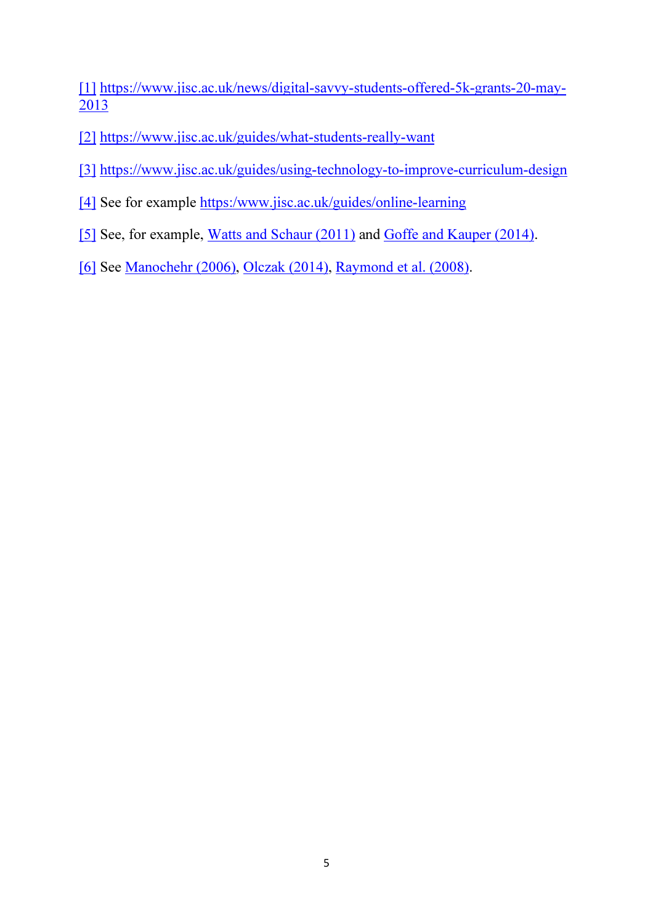[1] https://www.jisc.ac.uk/news/digital-savvy-students-offered-5k-grants-20-may-2013

- [2] https://www.jisc.ac.uk/guides/what-students-really-want
- [3] https://www.jisc.ac.uk/guides/using-technology-to-improve-curriculum-design
- [4] See for example https:/www.jisc.ac.uk/guides/online-learning
- [5] See, for example, Watts and Schaur (2011) and Goffe and Kauper (2014).
- [6] See Manochehr (2006), Olczak (2014), Raymond et al. (2008).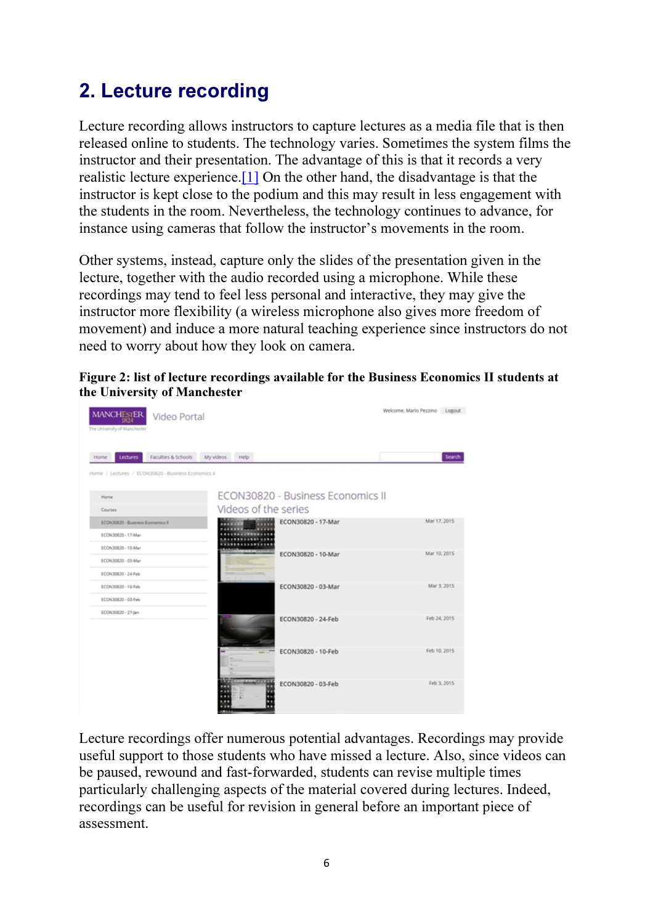# 2. Lecture recording

Lecture recording allows instructors to capture lectures as a media file that is then released online to students. The technology varies. Sometimes the system films the instructor and their presentation. The advantage of this is that it records a very realistic lecture experience.[1] On the other hand, the disadvantage is that the instructor is kept close to the podium and this may result in less engagement with the students in the room. Nevertheless, the technology continues to advance, for instance using cameras that follow the instructor's movements in the room.

Other systems, instead, capture only the slides of the presentation given in the lecture, together with the audio recorded using a microphone. While these recordings may tend to feel less personal and interactive, they may give the instructor more flexibility (a wireless microphone also gives more freedom of movement) and induce a more natural teaching experience since instructors do not need to worry about how they look on camera.



| Faculties & Schools<br>Lectures<br>Home             | My videos Help       |                                   |              |
|-----------------------------------------------------|----------------------|-----------------------------------|--------------|
| Home / Lectures / ECON30820 - Business Economics II |                      |                                   |              |
| Home                                                |                      | ECON30820 - Business Economics II |              |
| Courses                                             | Videos of the series |                                   |              |
| ECON30820 - Business Economics II                   |                      | ECON30820 - 17-Mar                | Mar 17, 2015 |
| ECON30820 - 17-Mar                                  |                      |                                   |              |
| ECON30820 - 10-Mar                                  |                      | ECON30820 - 10-Mar                | Mar 10, 2015 |
| ECON30820 - 03-Mar                                  |                      |                                   |              |
| ECON30820 - 24-Feb                                  | <b>TIMOGRAPHIA</b>   |                                   |              |
| ECON30820 - 10-Feb                                  |                      | ECON30820 - 03-Mar                | Mar 3, 2015  |
| ECON30820 - 03-Feb                                  |                      |                                   |              |
| ECON30820 - 27-jan                                  |                      | ECON30820 - 24-Feb                | Feb 24, 2015 |
|                                                     |                      |                                   |              |
|                                                     |                      |                                   |              |
|                                                     |                      | ECON30820 - 10-Feb                | Feb 10, 2015 |
|                                                     |                      |                                   |              |
|                                                     |                      |                                   |              |

Lecture recordings offer numerous potential advantages. Recordings may provide useful support to those students who have missed a lecture. Also, since videos can be paused, rewound and fast-forwarded, students can revise multiple times particularly challenging aspects of the material covered during lectures. Indeed, recordings can be useful for revision in general before an important piece of assessment.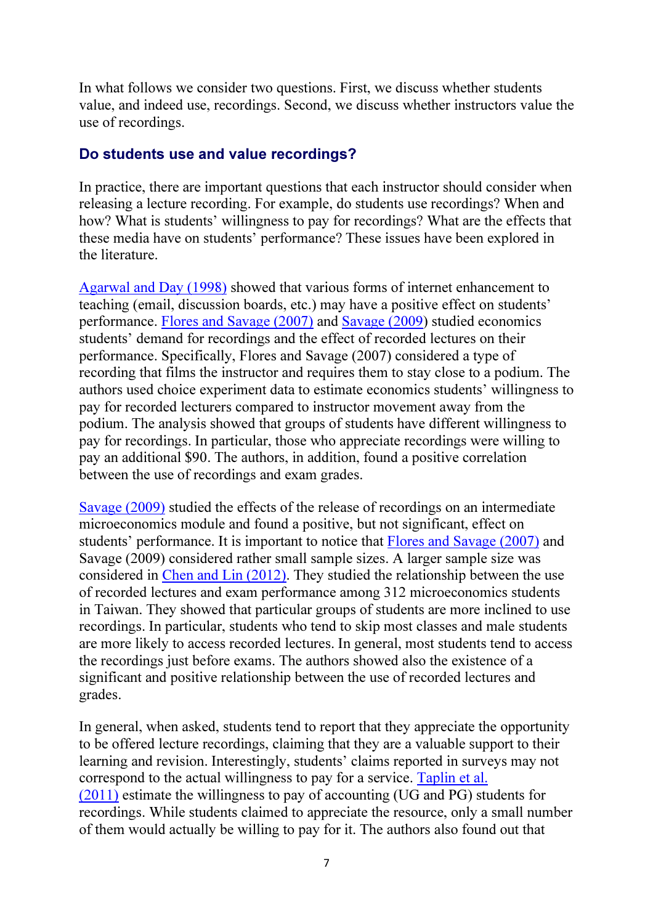In what follows we consider two questions. First, we discuss whether students value, and indeed use, recordings. Second, we discuss whether instructors value the use of recordings.

### Do students use and value recordings?

In practice, there are important questions that each instructor should consider when releasing a lecture recording. For example, do students use recordings? When and how? What is students' willingness to pay for recordings? What are the effects that these media have on students' performance? These issues have been explored in the literature.

Agarwal and Day (1998) showed that various forms of internet enhancement to teaching (email, discussion boards, etc.) may have a positive effect on students' performance. Flores and Savage (2007) and Savage (2009) studied economics students' demand for recordings and the effect of recorded lectures on their performance. Specifically, Flores and Savage (2007) considered a type of recording that films the instructor and requires them to stay close to a podium. The authors used choice experiment data to estimate economics students' willingness to pay for recorded lecturers compared to instructor movement away from the podium. The analysis showed that groups of students have different willingness to pay for recordings. In particular, those who appreciate recordings were willing to pay an additional \$90. The authors, in addition, found a positive correlation between the use of recordings and exam grades.

Savage (2009) studied the effects of the release of recordings on an intermediate microeconomics module and found a positive, but not significant, effect on students' performance. It is important to notice that Flores and Savage (2007) and Savage (2009) considered rather small sample sizes. A larger sample size was considered in Chen and Lin (2012). They studied the relationship between the use of recorded lectures and exam performance among 312 microeconomics students in Taiwan. They showed that particular groups of students are more inclined to use recordings. In particular, students who tend to skip most classes and male students are more likely to access recorded lectures. In general, most students tend to access the recordings just before exams. The authors showed also the existence of a significant and positive relationship between the use of recorded lectures and grades.

In general, when asked, students tend to report that they appreciate the opportunity to be offered lecture recordings, claiming that they are a valuable support to their learning and revision. Interestingly, students' claims reported in surveys may not correspond to the actual willingness to pay for a service. Taplin et al. (2011) estimate the willingness to pay of accounting (UG and PG) students for recordings. While students claimed to appreciate the resource, only a small number of them would actually be willing to pay for it. The authors also found out that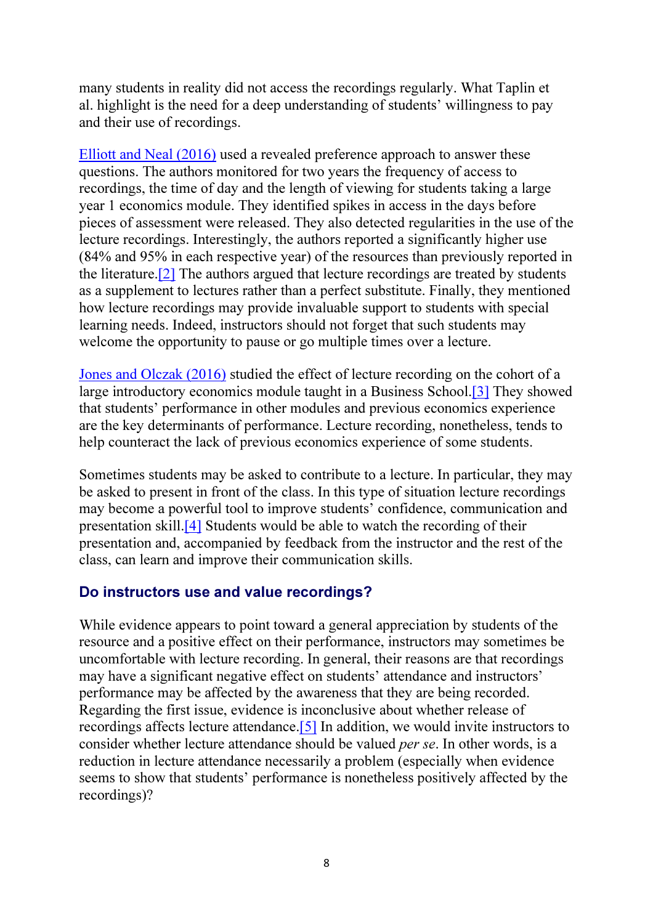many students in reality did not access the recordings regularly. What Taplin et al. highlight is the need for a deep understanding of students' willingness to pay and their use of recordings.

Elliott and Neal (2016) used a revealed preference approach to answer these questions. The authors monitored for two years the frequency of access to recordings, the time of day and the length of viewing for students taking a large year 1 economics module. They identified spikes in access in the days before pieces of assessment were released. They also detected regularities in the use of the lecture recordings. Interestingly, the authors reported a significantly higher use (84% and 95% in each respective year) of the resources than previously reported in the literature.[2] The authors argued that lecture recordings are treated by students as a supplement to lectures rather than a perfect substitute. Finally, they mentioned how lecture recordings may provide invaluable support to students with special learning needs. Indeed, instructors should not forget that such students may welcome the opportunity to pause or go multiple times over a lecture.

Jones and Olczak (2016) studied the effect of lecture recording on the cohort of a large introductory economics module taught in a Business School.[3] They showed that students' performance in other modules and previous economics experience are the key determinants of performance. Lecture recording, nonetheless, tends to help counteract the lack of previous economics experience of some students.

Sometimes students may be asked to contribute to a lecture. In particular, they may be asked to present in front of the class. In this type of situation lecture recordings may become a powerful tool to improve students' confidence, communication and presentation skill.[4] Students would be able to watch the recording of their presentation and, accompanied by feedback from the instructor and the rest of the class, can learn and improve their communication skills.

#### Do instructors use and value recordings?

While evidence appears to point toward a general appreciation by students of the resource and a positive effect on their performance, instructors may sometimes be uncomfortable with lecture recording. In general, their reasons are that recordings may have a significant negative effect on students' attendance and instructors' performance may be affected by the awareness that they are being recorded. Regarding the first issue, evidence is inconclusive about whether release of recordings affects lecture attendance.[5] In addition, we would invite instructors to consider whether lecture attendance should be valued *per se*. In other words, is a reduction in lecture attendance necessarily a problem (especially when evidence seems to show that students' performance is nonetheless positively affected by the recordings)?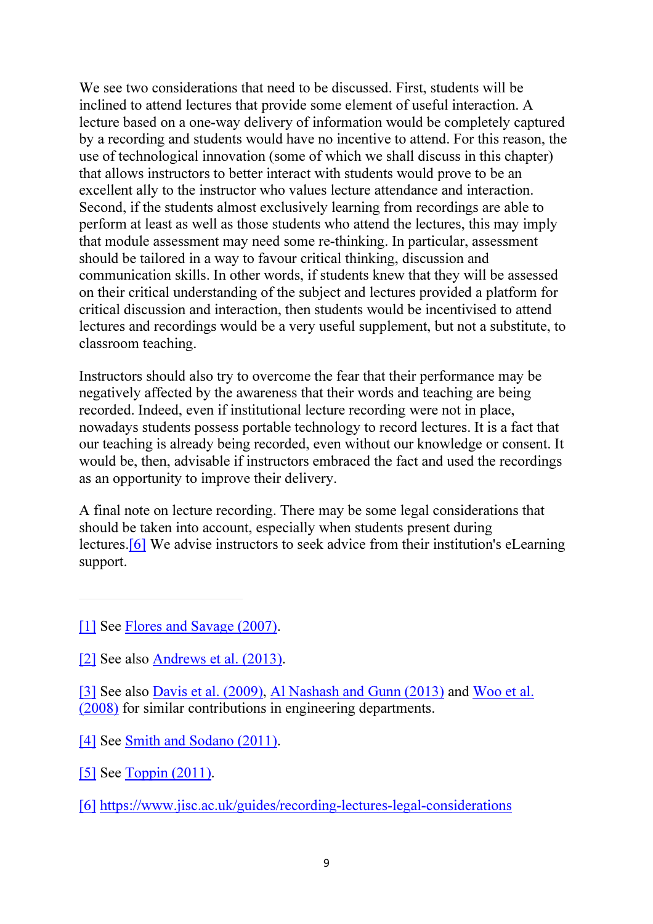We see two considerations that need to be discussed. First, students will be inclined to attend lectures that provide some element of useful interaction. A lecture based on a one-way delivery of information would be completely captured by a recording and students would have no incentive to attend. For this reason, the use of technological innovation (some of which we shall discuss in this chapter) that allows instructors to better interact with students would prove to be an excellent ally to the instructor who values lecture attendance and interaction. Second, if the students almost exclusively learning from recordings are able to perform at least as well as those students who attend the lectures, this may imply that module assessment may need some re-thinking. In particular, assessment should be tailored in a way to favour critical thinking, discussion and communication skills. In other words, if students knew that they will be assessed on their critical understanding of the subject and lectures provided a platform for critical discussion and interaction, then students would be incentivised to attend lectures and recordings would be a very useful supplement, but not a substitute, to classroom teaching.

Instructors should also try to overcome the fear that their performance may be negatively affected by the awareness that their words and teaching are being recorded. Indeed, even if institutional lecture recording were not in place, nowadays students possess portable technology to record lectures. It is a fact that our teaching is already being recorded, even without our knowledge or consent. It would be, then, advisable if instructors embraced the fact and used the recordings as an opportunity to improve their delivery.

A final note on lecture recording. There may be some legal considerations that should be taken into account, especially when students present during lectures.[6] We advise instructors to seek advice from their institution's eLearning support.

[3] See also Davis et al. (2009), Al Nashash and Gunn (2013) and Woo et al. (2008) for similar contributions in engineering departments.

<sup>[1]</sup> See Flores and Savage (2007).

<sup>[2]</sup> See also Andrews et al. (2013).

<sup>[4]</sup> See Smith and Sodano (2011).

<sup>[5]</sup> See Toppin (2011).

<sup>[6]</sup> https://www.jisc.ac.uk/guides/recording-lectures-legal-considerations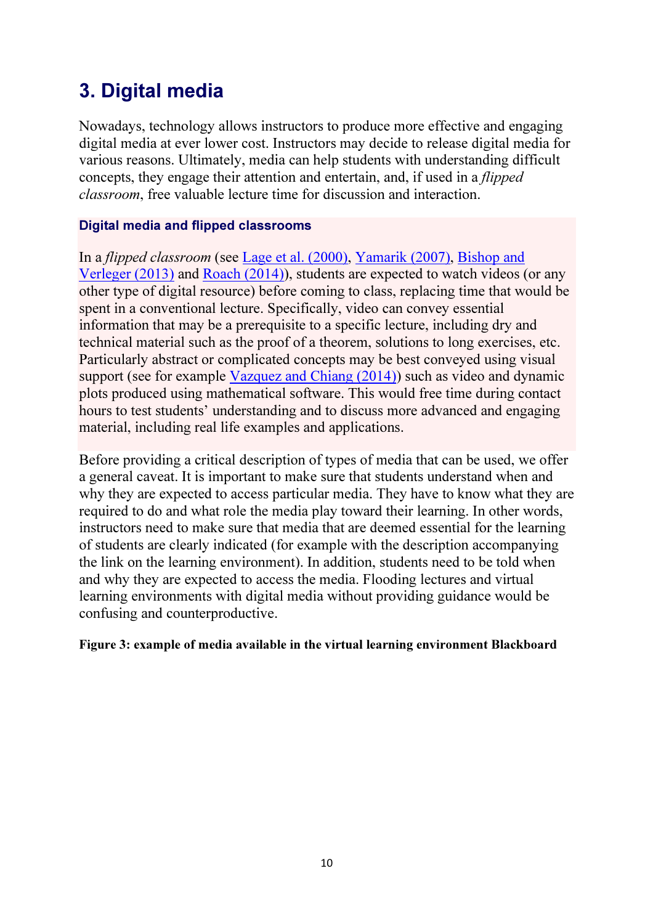# 3. Digital media

Nowadays, technology allows instructors to produce more effective and engaging digital media at ever lower cost. Instructors may decide to release digital media for various reasons. Ultimately, media can help students with understanding difficult concepts, they engage their attention and entertain, and, if used in a *flipped classroom*, free valuable lecture time for discussion and interaction.

### Digital media and flipped classrooms

In a *flipped classroom* (see Lage et al. (2000), Yamarik (2007), Bishop and Verleger (2013) and Roach (2014)), students are expected to watch videos (or any other type of digital resource) before coming to class, replacing time that would be spent in a conventional lecture. Specifically, video can convey essential information that may be a prerequisite to a specific lecture, including dry and technical material such as the proof of a theorem, solutions to long exercises, etc. Particularly abstract or complicated concepts may be best conveyed using visual support (see for example Vazquez and Chiang (2014)) such as video and dynamic plots produced using mathematical software. This would free time during contact hours to test students' understanding and to discuss more advanced and engaging material, including real life examples and applications.

Before providing a critical description of types of media that can be used, we offer a general caveat. It is important to make sure that students understand when and why they are expected to access particular media. They have to know what they are required to do and what role the media play toward their learning. In other words, instructors need to make sure that media that are deemed essential for the learning of students are clearly indicated (for example with the description accompanying the link on the learning environment). In addition, students need to be told when and why they are expected to access the media. Flooding lectures and virtual learning environments with digital media without providing guidance would be confusing and counterproductive.

#### Figure 3: example of media available in the virtual learning environment Blackboard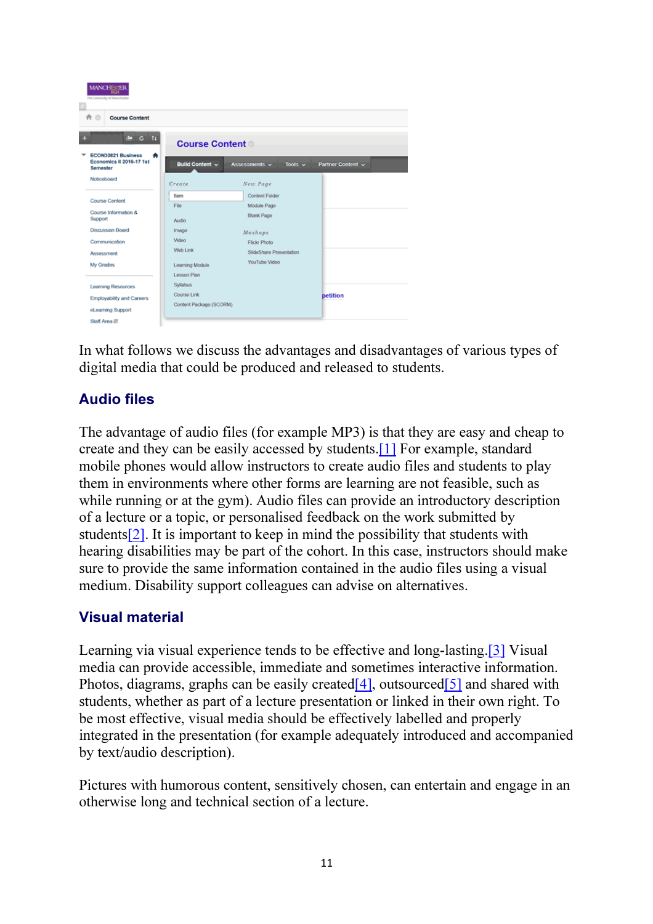

In what follows we discuss the advantages and disadvantages of various types of digital media that could be produced and released to students.

# Audio files

The advantage of audio files (for example MP3) is that they are easy and cheap to create and they can be easily accessed by students.[1] For example, standard mobile phones would allow instructors to create audio files and students to play them in environments where other forms are learning are not feasible, such as while running or at the gym). Audio files can provide an introductory description of a lecture or a topic, or personalised feedback on the work submitted by students[2]. It is important to keep in mind the possibility that students with hearing disabilities may be part of the cohort. In this case, instructors should make sure to provide the same information contained in the audio files using a visual medium. Disability support colleagues can advise on alternatives.

# Visual material

Learning via visual experience tends to be effective and long-lasting.[3] Visual media can provide accessible, immediate and sometimes interactive information. Photos, diagrams, graphs can be easily created [4], outsourced [5] and shared with students, whether as part of a lecture presentation or linked in their own right. To be most effective, visual media should be effectively labelled and properly integrated in the presentation (for example adequately introduced and accompanied by text/audio description).

Pictures with humorous content, sensitively chosen, can entertain and engage in an otherwise long and technical section of a lecture.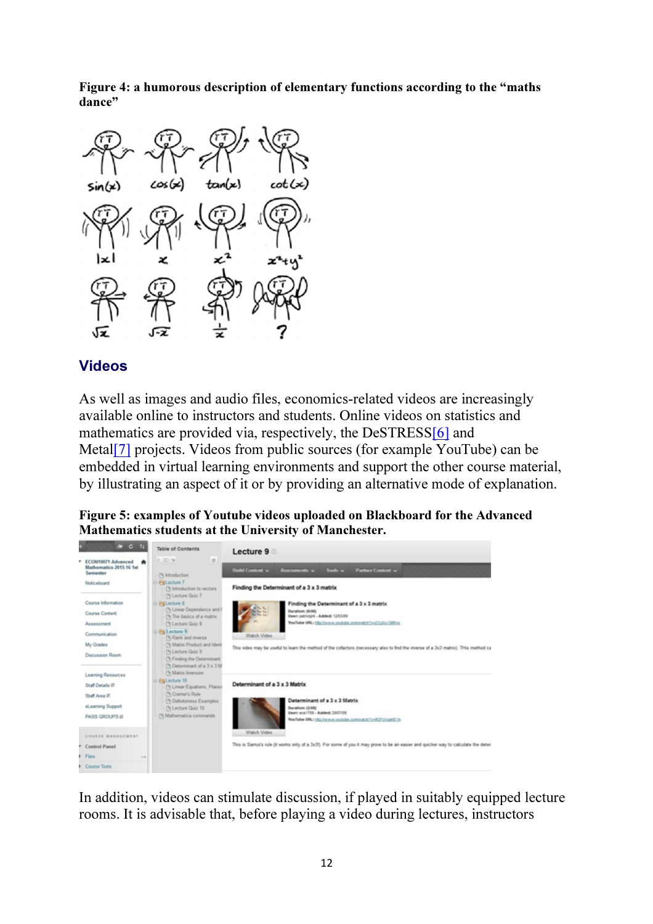Figure 4: a humorous description of elementary functions according to the "maths dance"



# Videos

As well as images and audio files, economics-related videos are increasingly available online to instructors and students. Online videos on statistics and mathematics are provided via, respectively, the DeSTRESS[6] and Metal<sup>[7]</sup> projects. Videos from public sources (for example YouTube) can be embedded in virtual learning environments and support the other course material, by illustrating an aspect of it or by providing an alternative mode of explanation.

| Figure 5: examples of Youtube videos uploaded on Blackboard for the Advanced |
|------------------------------------------------------------------------------|
| Mathematics students at the University of Manchester.                        |



In addition, videos can stimulate discussion, if played in suitably equipped lecture rooms. It is advisable that, before playing a video during lectures, instructors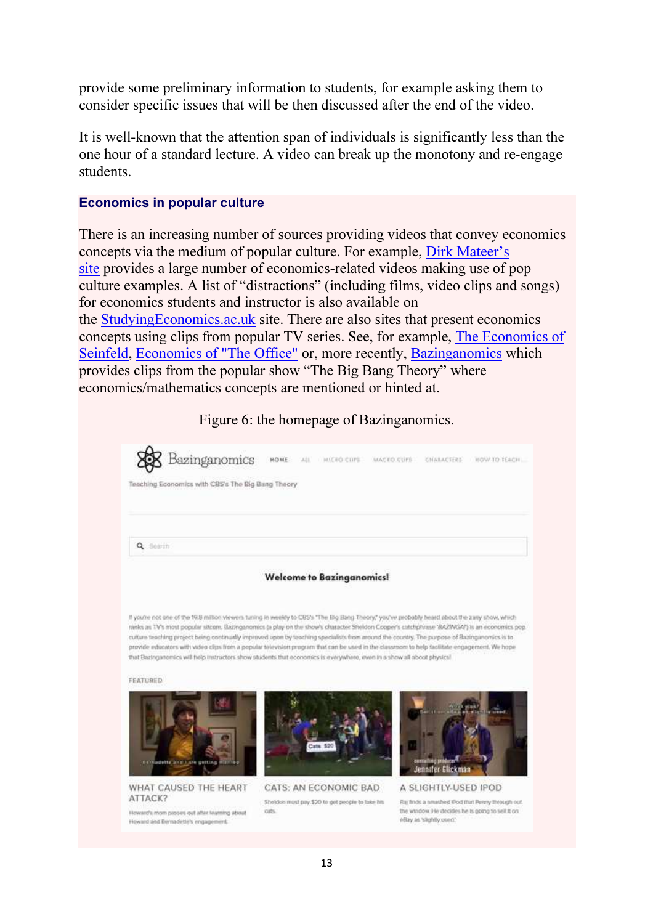provide some preliminary information to students, for example asking them to consider specific issues that will be then discussed after the end of the video.

It is well-known that the attention span of individuals is significantly less than the one hour of a standard lecture. A video can break up the monotony and re-engage students.

#### Economics in popular culture

There is an increasing number of sources providing videos that convey economics concepts via the medium of popular culture. For example, Dirk Mateer's site provides a large number of economics-related videos making use of pop culture examples. A list of "distractions" (including films, video clips and songs) for economics students and instructor is also available on the StudyingEconomics.ac.uk site. There are also sites that present economics concepts using clips from popular TV series. See, for example, The Economics of Seinfeld, Economics of "The Office" or, more recently, Bazinganomics which provides clips from the popular show "The Big Bang Theory" where economics/mathematics concepts are mentioned or hinted at.

Figure 6: the homepage of Bazinganomics. Bazinganomics HOME MICEO CUPS MACEO CUPS CHARACTERS HOW TO TEACH. CALLS Teaching Economics with CBS's The Big Bang Theory Q Search **Welcome to Bazinganomics!** If you're not one of the 1938 million viewers tuning in weekly to CRS's "The Big Band Theory" you've probably heard aboot the zany show, which ranks as TV's most popular sitcom. Bazinganomics (a play on the show's character Sheldon Cooper's catchphrase 'BAZINGA') is an economics pop culture teaching project being continually improved upon by teaching specialists from around the country. The purpose of Bazinganonics is to provide educators with video clips from a popular television program that can be used in the classroom to help facilitate engagement. We hope that Bazinganomics will help instructors show students that economics is everywhere, even in a show all about physics! **FEATURED** Jennifer Glickman WHAT CAUSED THE HEART CATS: AN ECONOMIC BAD A SLIGHTLY-USED IPOD ATTACK? Rai finds a neuabled (Pod that Perziy through out) Shelders most pay \$20 to get people to take his cits. the window. He decides he is going to sell it on Howard's morn passes out after learning about eBay as 'slightly used.' Howard and Bernadette's engagement.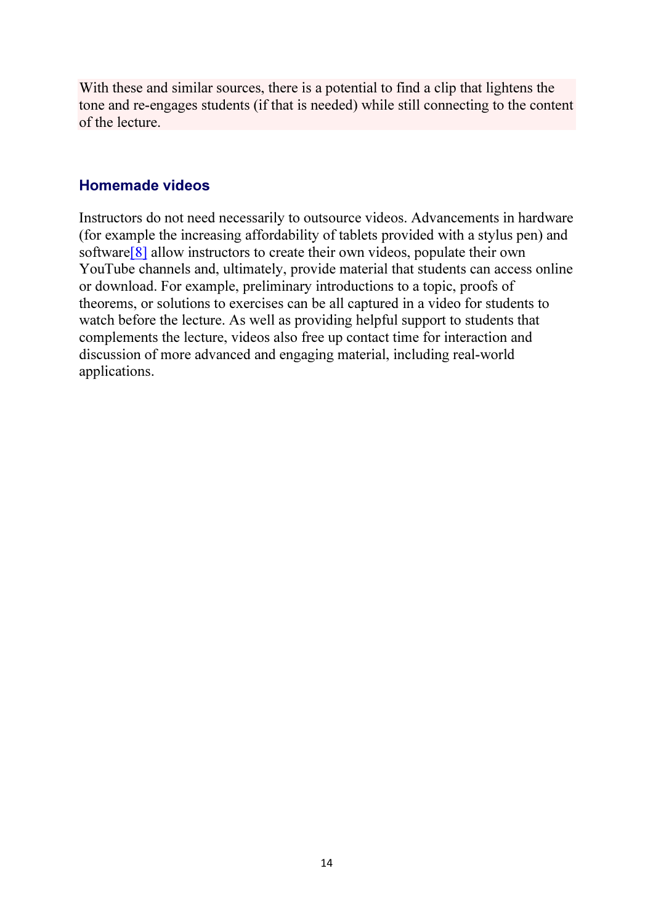With these and similar sources, there is a potential to find a clip that lightens the tone and re-engages students (if that is needed) while still connecting to the content of the lecture.

### Homemade videos

Instructors do not need necessarily to outsource videos. Advancements in hardware (for example the increasing affordability of tablets provided with a stylus pen) and software[8] allow instructors to create their own videos, populate their own YouTube channels and, ultimately, provide material that students can access online or download. For example, preliminary introductions to a topic, proofs of theorems, or solutions to exercises can be all captured in a video for students to watch before the lecture. As well as providing helpful support to students that complements the lecture, videos also free up contact time for interaction and discussion of more advanced and engaging material, including real-world applications.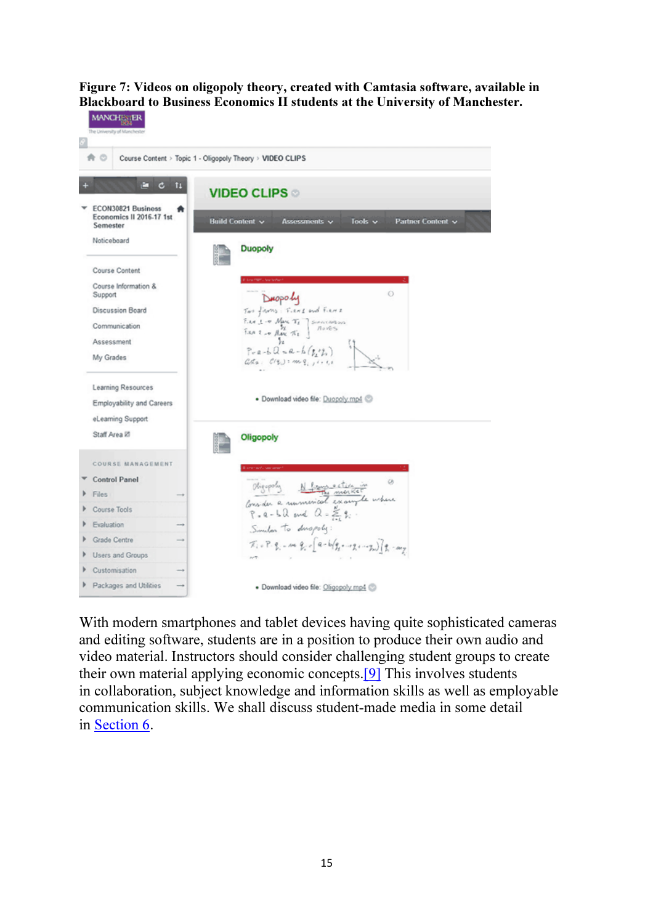#### Figure 7: Videos on oligopoly theory, created with Camtasia software, available in Blackboard to Business Economics II students at the University of Manchester.



With modern smartphones and tablet devices having quite sophisticated cameras and editing software, students are in a position to produce their own audio and video material. Instructors should consider challenging student groups to create their own material applying economic concepts.[9] This involves students in collaboration, subject knowledge and information skills as well as employable communication skills. We shall discuss student-made media in some detail in Section 6.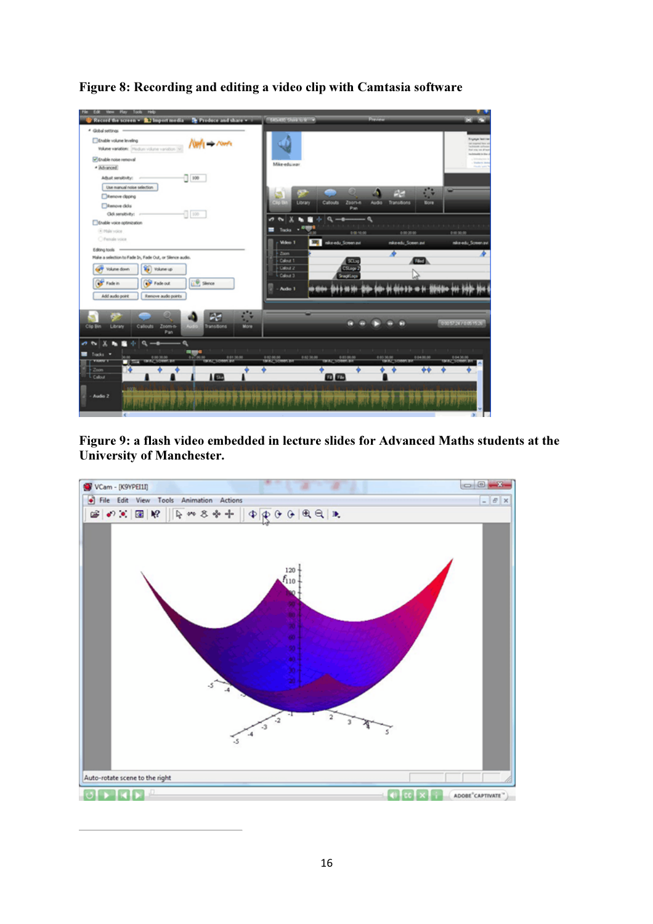

Figure 8: Recording and editing a video clip with Camtasia software

Figure 9: a flash video embedded in lecture slides for Advanced Maths students at the University of Manchester.

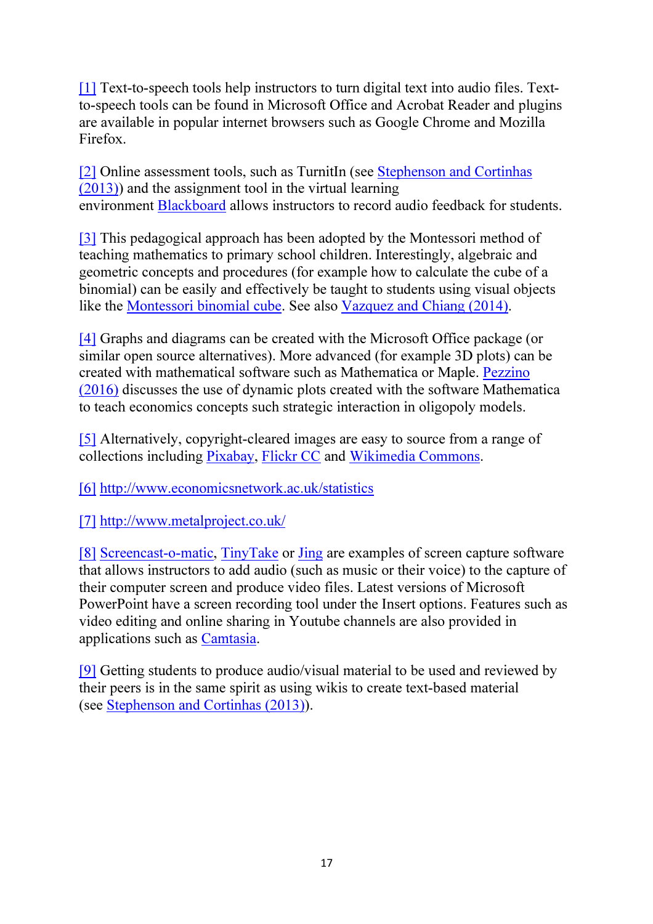[1] Text-to-speech tools help instructors to turn digital text into audio files. Textto-speech tools can be found in Microsoft Office and Acrobat Reader and plugins are available in popular internet browsers such as Google Chrome and Mozilla Firefox.

[2] Online assessment tools, such as TurnitIn (see Stephenson and Cortinhas (2013)) and the assignment tool in the virtual learning environment Blackboard allows instructors to record audio feedback for students.

[3] This pedagogical approach has been adopted by the Montessori method of teaching mathematics to primary school children. Interestingly, algebraic and geometric concepts and procedures (for example how to calculate the cube of a binomial) can be easily and effectively be taught to students using visual objects like the Montessori binomial cube. See also Vazquez and Chiang (2014).

[4] Graphs and diagrams can be created with the Microsoft Office package (or similar open source alternatives). More advanced (for example 3D plots) can be created with mathematical software such as Mathematica or Maple. Pezzino (2016) discusses the use of dynamic plots created with the software Mathematica to teach economics concepts such strategic interaction in oligopoly models.

[5] Alternatively, copyright-cleared images are easy to source from a range of collections including Pixabay, Flickr CC and Wikimedia Commons.

[6] http://www.economicsnetwork.ac.uk/statistics

[7] http://www.metalproject.co.uk/

[8] Screencast-o-matic, TinyTake or Jing are examples of screen capture software that allows instructors to add audio (such as music or their voice) to the capture of their computer screen and produce video files. Latest versions of Microsoft PowerPoint have a screen recording tool under the Insert options. Features such as video editing and online sharing in Youtube channels are also provided in applications such as Camtasia.

[9] Getting students to produce audio/visual material to be used and reviewed by their peers is in the same spirit as using wikis to create text-based material (see Stephenson and Cortinhas (2013)).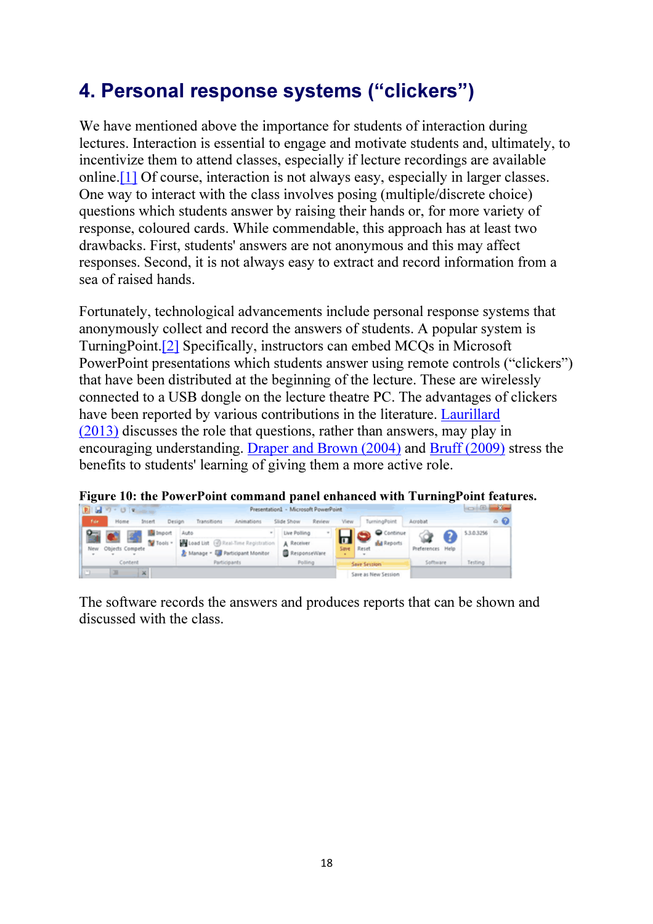# 4. Personal response systems ("clickers")

We have mentioned above the importance for students of interaction during lectures. Interaction is essential to engage and motivate students and, ultimately, to incentivize them to attend classes, especially if lecture recordings are available online.[1] Of course, interaction is not always easy, especially in larger classes. One way to interact with the class involves posing (multiple/discrete choice) questions which students answer by raising their hands or, for more variety of response, coloured cards. While commendable, this approach has at least two drawbacks. First, students' answers are not anonymous and this may affect responses. Second, it is not always easy to extract and record information from a sea of raised hands.

Fortunately, technological advancements include personal response systems that anonymously collect and record the answers of students. A popular system is TurningPoint.[2] Specifically, instructors can embed MCQs in Microsoft PowerPoint presentations which students answer using remote controls ("clickers") that have been distributed at the beginning of the lecture. These are wirelessly connected to a USB dongle on the lecture theatre PC. The advantages of clickers have been reported by various contributions in the literature. Laurillard (2013) discusses the role that questions, rather than answers, may play in encouraging understanding. Draper and Brown (2004) and Bruff (2009) stress the benefits to students' learning of giving them a more active role.



Figure 10: the PowerPoint command panel enhanced with TurningPoint features.

The software records the answers and produces reports that can be shown and discussed with the class.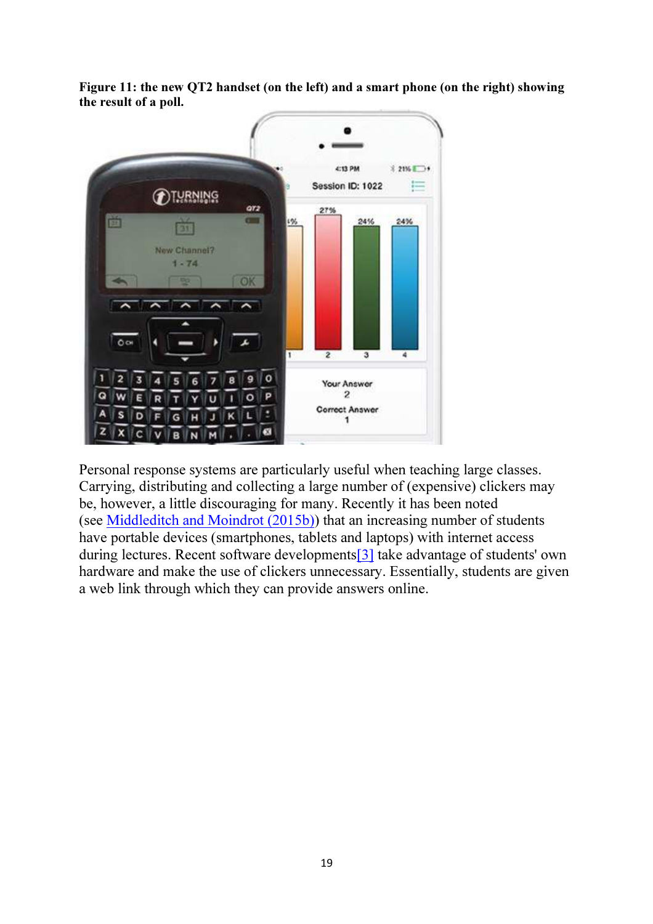Figure 11: the new QT2 handset (on the left) and a smart phone (on the right) showing the result of a poll.



Personal response systems are particularly useful when teaching large classes. Carrying, distributing and collecting a large number of (expensive) clickers may be, however, a little discouraging for many. Recently it has been noted (see Middleditch and Moindrot (2015b)) that an increasing number of students have portable devices (smartphones, tablets and laptops) with internet access during lectures. Recent software developments[3] take advantage of students' own hardware and make the use of clickers unnecessary. Essentially, students are given a web link through which they can provide answers online.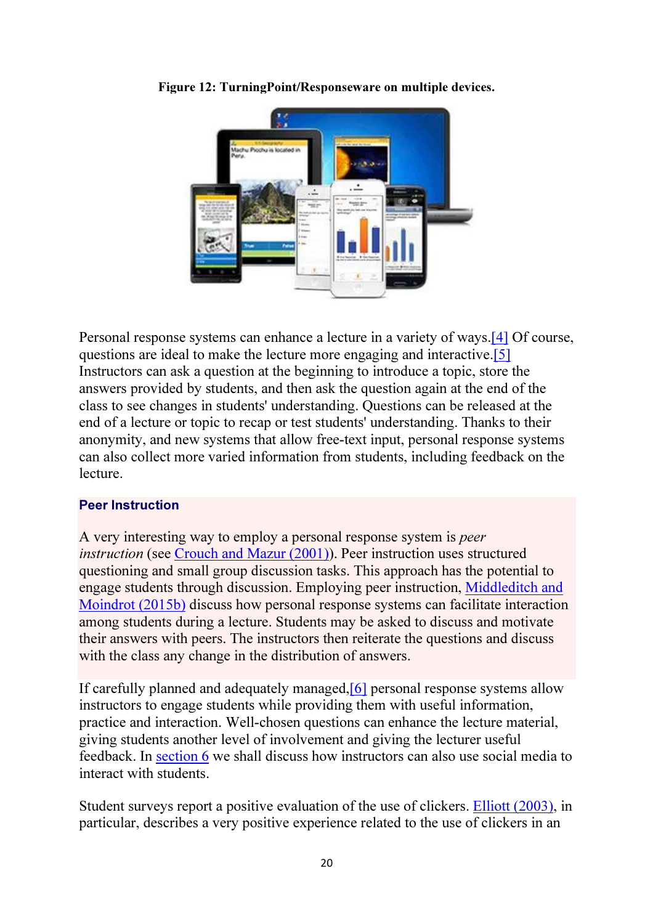

Figure 12: TurningPoint/Responseware on multiple devices.

Personal response systems can enhance a lecture in a variety of ways.[4] Of course, questions are ideal to make the lecture more engaging and interactive.[5] Instructors can ask a question at the beginning to introduce a topic, store the answers provided by students, and then ask the question again at the end of the class to see changes in students' understanding. Questions can be released at the end of a lecture or topic to recap or test students' understanding. Thanks to their anonymity, and new systems that allow free-text input, personal response systems can also collect more varied information from students, including feedback on the lecture.

#### Peer Instruction

A very interesting way to employ a personal response system is *peer instruction* (see Crouch and Mazur (2001)). Peer instruction uses structured questioning and small group discussion tasks. This approach has the potential to engage students through discussion. Employing peer instruction, Middleditch and Moindrot (2015b) discuss how personal response systems can facilitate interaction among students during a lecture. Students may be asked to discuss and motivate their answers with peers. The instructors then reiterate the questions and discuss with the class any change in the distribution of answers.

If carefully planned and adequately managed,[6] personal response systems allow instructors to engage students while providing them with useful information, practice and interaction. Well-chosen questions can enhance the lecture material, giving students another level of involvement and giving the lecturer useful feedback. In section 6 we shall discuss how instructors can also use social media to interact with students.

Student surveys report a positive evaluation of the use of clickers. Elliott (2003), in particular, describes a very positive experience related to the use of clickers in an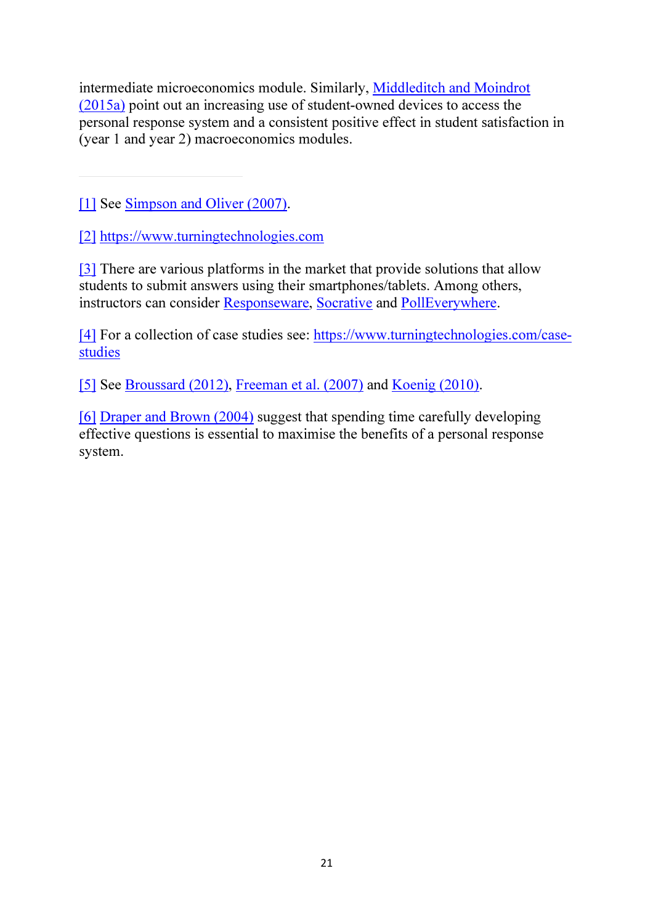intermediate microeconomics module. Similarly, Middleditch and Moindrot (2015a) point out an increasing use of student-owned devices to access the personal response system and a consistent positive effect in student satisfaction in (year 1 and year 2) macroeconomics modules.

[1] See Simpson and Oliver (2007).

[2] https://www.turningtechnologies.com

[3] There are various platforms in the market that provide solutions that allow students to submit answers using their smartphones/tablets. Among others, instructors can consider Responseware, Socrative and PollEverywhere.

[4] For a collection of case studies see: https://www.turningtechnologies.com/casestudies

[5] See Broussard (2012), Freeman et al. (2007) and Koenig (2010).

[6] Draper and Brown (2004) suggest that spending time carefully developing effective questions is essential to maximise the benefits of a personal response system.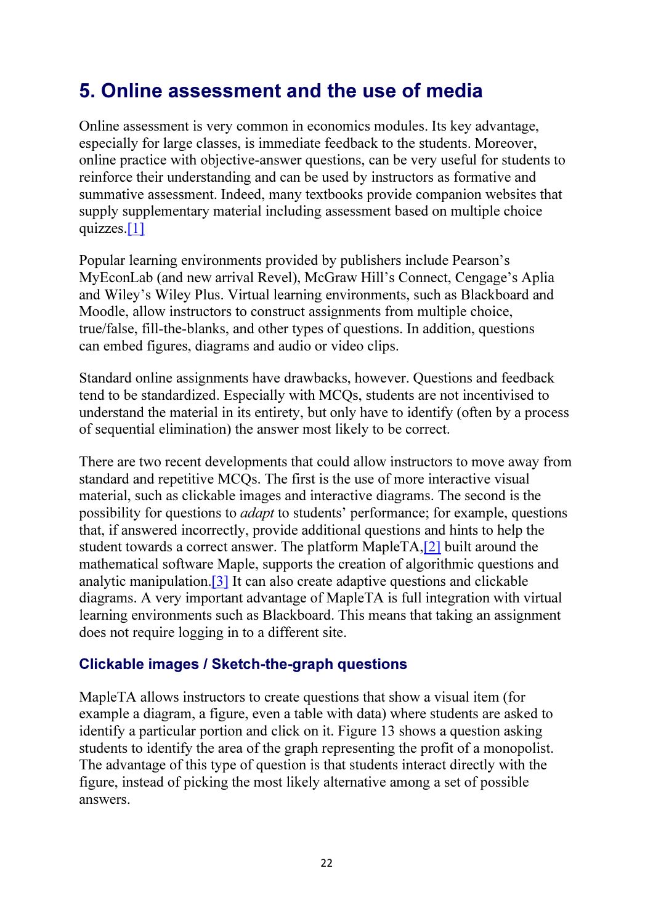# 5. Online assessment and the use of media

Online assessment is very common in economics modules. Its key advantage, especially for large classes, is immediate feedback to the students. Moreover, online practice with objective-answer questions, can be very useful for students to reinforce their understanding and can be used by instructors as formative and summative assessment. Indeed, many textbooks provide companion websites that supply supplementary material including assessment based on multiple choice quizzes.[1]

Popular learning environments provided by publishers include Pearson's MyEconLab (and new arrival Revel), McGraw Hill's Connect, Cengage's Aplia and Wiley's Wiley Plus. Virtual learning environments, such as Blackboard and Moodle, allow instructors to construct assignments from multiple choice, true/false, fill-the-blanks, and other types of questions. In addition, questions can embed figures, diagrams and audio or video clips.

Standard online assignments have drawbacks, however. Questions and feedback tend to be standardized. Especially with MCQs, students are not incentivised to understand the material in its entirety, but only have to identify (often by a process of sequential elimination) the answer most likely to be correct.

There are two recent developments that could allow instructors to move away from standard and repetitive MCQs. The first is the use of more interactive visual material, such as clickable images and interactive diagrams. The second is the possibility for questions to *adapt* to students' performance; for example, questions that, if answered incorrectly, provide additional questions and hints to help the student towards a correct answer. The platform MapleTA,[2] built around the mathematical software Maple, supports the creation of algorithmic questions and analytic manipulation.[3] It can also create adaptive questions and clickable diagrams. A very important advantage of MapleTA is full integration with virtual learning environments such as Blackboard. This means that taking an assignment does not require logging in to a different site.

### Clickable images / Sketch-the-graph questions

MapleTA allows instructors to create questions that show a visual item (for example a diagram, a figure, even a table with data) where students are asked to identify a particular portion and click on it. Figure 13 shows a question asking students to identify the area of the graph representing the profit of a monopolist. The advantage of this type of question is that students interact directly with the figure, instead of picking the most likely alternative among a set of possible answers.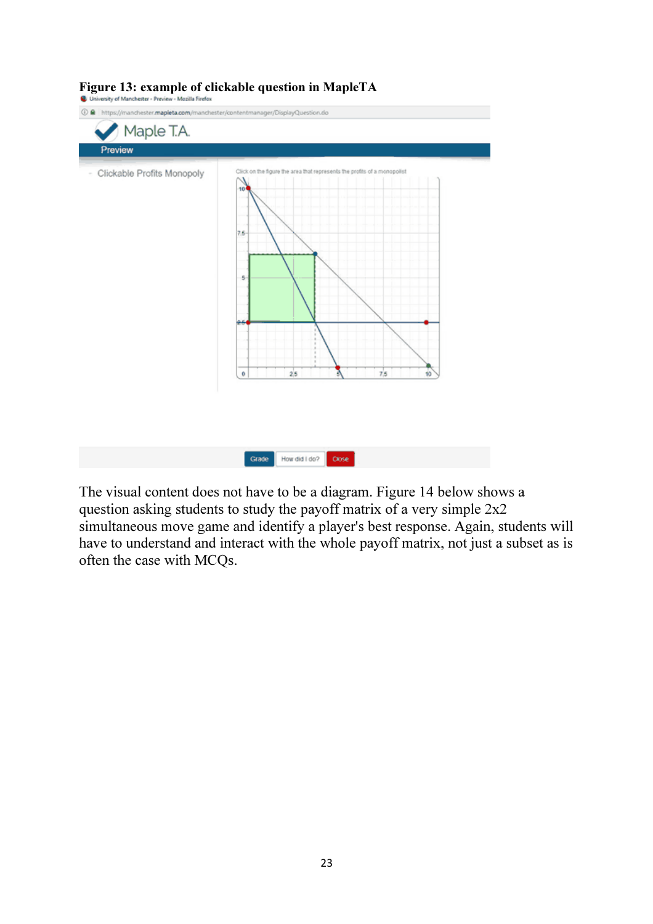| Preview                    |                                                                                                                                                                     |
|----------------------------|---------------------------------------------------------------------------------------------------------------------------------------------------------------------|
| Clickable Profits Monopoly | Click on the figure the area that represents the profits of a monopolist<br>1<br>10<br>$\sim$<br>$7.6 -$<br>s.<br>مو<br>25<br>7 <sub>5</sub><br>$\theta$<br>10<br>5 |

## Figure 13: example of clickable question in MapleTA

The visual content does not have to be a diagram. Figure 14 below shows a question asking students to study the payoff matrix of a very simple 2x2 simultaneous move game and identify a player's best response. Again, students will have to understand and interact with the whole payoff matrix, not just a subset as is often the case with MCQs.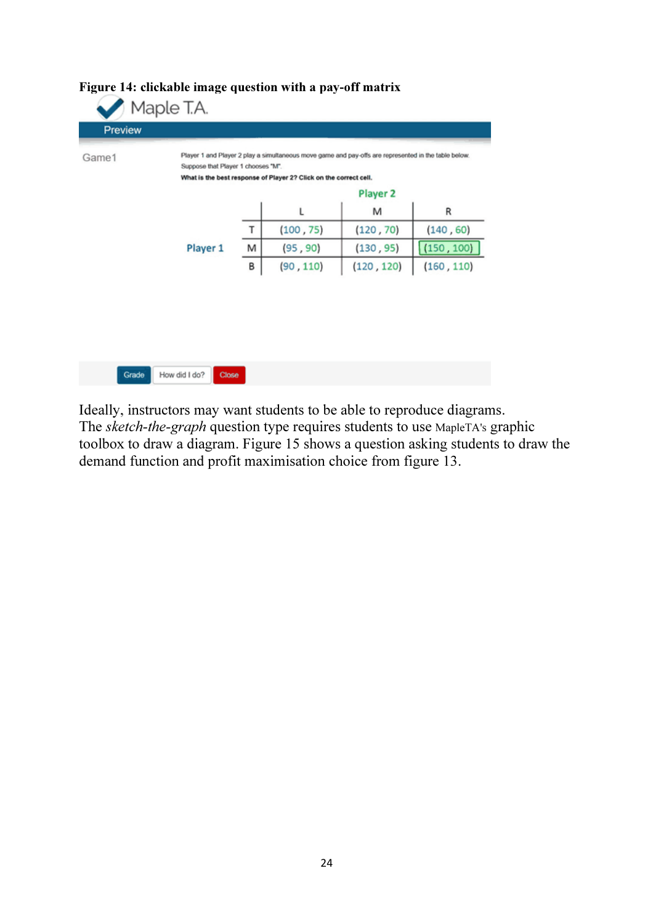| R          |
|------------|
| (140, 60)  |
| (150, 100) |
| (160, 110) |
|            |
|            |
|            |

### Figure 14: clickable image question with a pay-off matrix

Ideally, instructors may want students to be able to reproduce diagrams. The *sketch-the-graph* question type requires students to use MapleTA's graphic toolbox to draw a diagram. Figure 15 shows a question asking students to draw the demand function and profit maximisation choice from figure 13.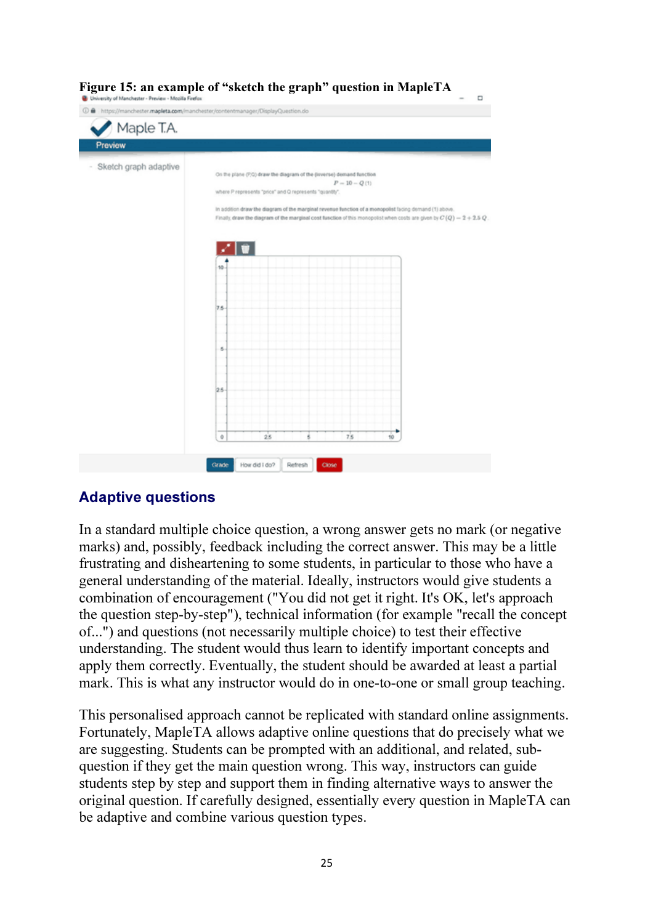

# Adaptive questions

In a standard multiple choice question, a wrong answer gets no mark (or negative marks) and, possibly, feedback including the correct answer. This may be a little frustrating and disheartening to some students, in particular to those who have a general understanding of the material. Ideally, instructors would give students a combination of encouragement ("You did not get it right. It's OK, let's approach the question step-by-step"), technical information (for example "recall the concept of...") and questions (not necessarily multiple choice) to test their effective understanding. The student would thus learn to identify important concepts and apply them correctly. Eventually, the student should be awarded at least a partial mark. This is what any instructor would do in one-to-one or small group teaching.

This personalised approach cannot be replicated with standard online assignments. Fortunately, MapleTA allows adaptive online questions that do precisely what we are suggesting. Students can be prompted with an additional, and related, subquestion if they get the main question wrong. This way, instructors can guide students step by step and support them in finding alternative ways to answer the original question. If carefully designed, essentially every question in MapleTA can be adaptive and combine various question types.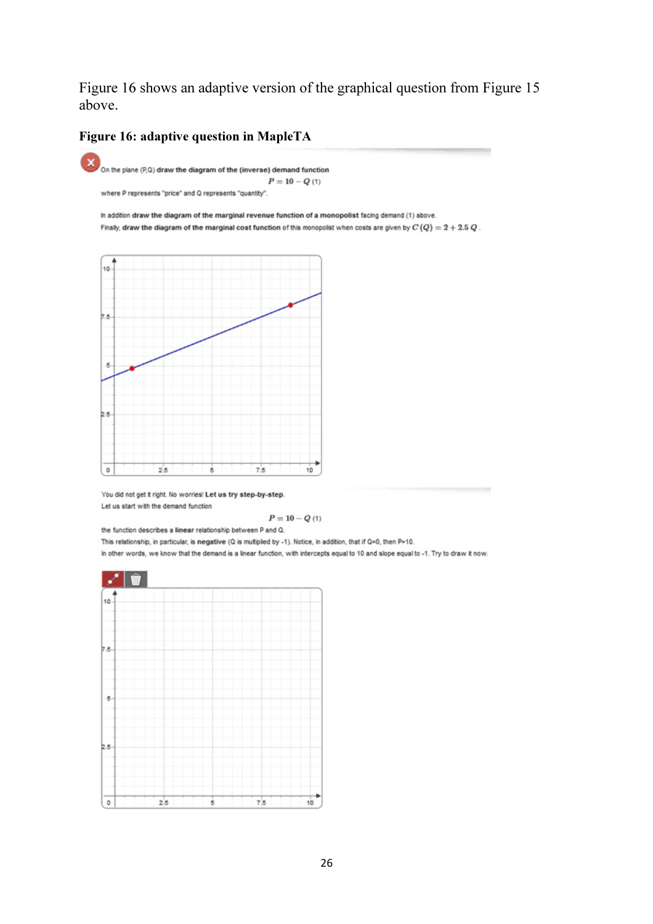Figure 16 shows an adaptive version of the graphical question from Figure 15 above.

#### Figure 16: adaptive question in MapleTA





You did not get it right. No worries! Let us try step-by-step. Let us start with the demand function

$$
P=10-Q\left(1\right)
$$

the function describes a linear relationship between P and Q.

This relationship, in particular, is negative (Q is multiplied by -1). Notice, in addition, that if Q=0, then P=10.

in other words, we know that the demand is a linear function, with intercepts equal to 10 and slope equal to -1. Try to draw it now.

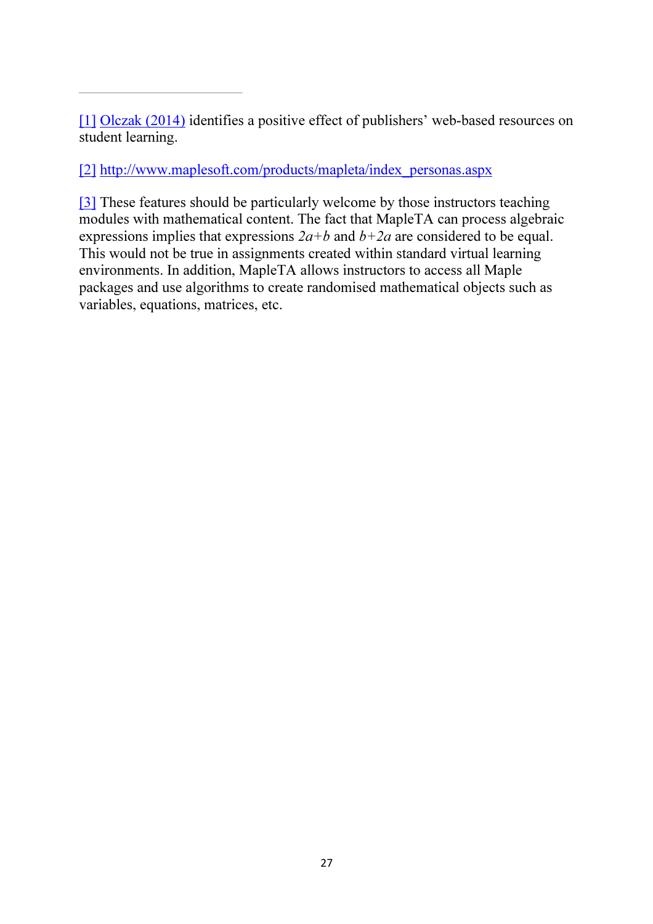[1] Olczak (2014) identifies a positive effect of publishers' web-based resources on student learning.

[2] http://www.maplesoft.com/products/mapleta/index\_personas.aspx

[3] These features should be particularly welcome by those instructors teaching modules with mathematical content. The fact that MapleTA can process algebraic expressions implies that expressions *2a+b* and *b+2a* are considered to be equal. This would not be true in assignments created within standard virtual learning environments. In addition, MapleTA allows instructors to access all Maple packages and use algorithms to create randomised mathematical objects such as variables, equations, matrices, etc.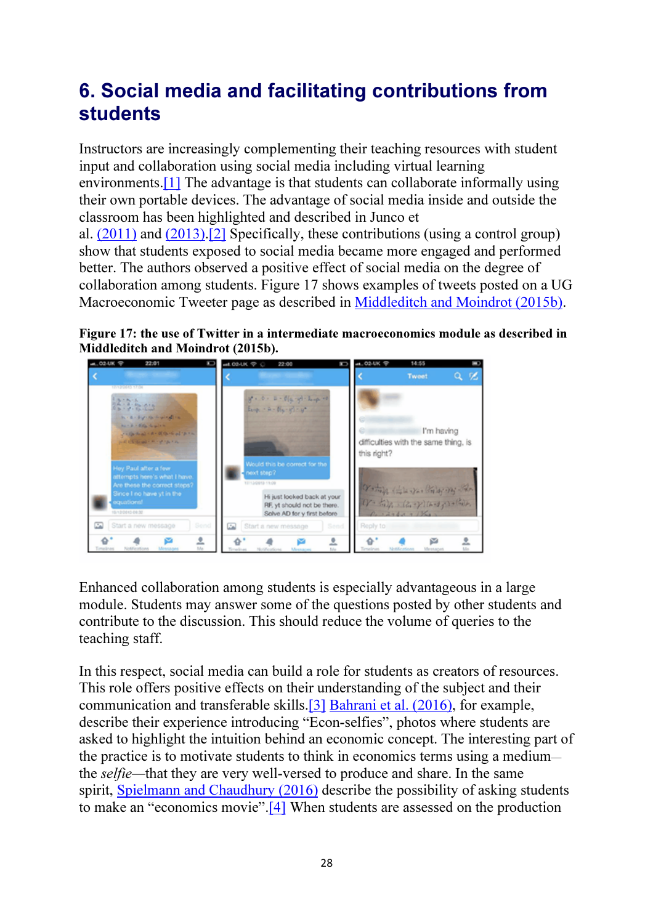# 6. Social media and facilitating contributions from students

Instructors are increasingly complementing their teaching resources with student input and collaboration using social media including virtual learning environments.[1] The advantage is that students can collaborate informally using their own portable devices. The advantage of social media inside and outside the classroom has been highlighted and described in Junco et

al. (2011) and (2013).[2] Specifically, these contributions (using a control group) show that students exposed to social media became more engaged and performed better. The authors observed a positive effect of social media on the degree of collaboration among students. Figure 17 shows examples of tweets posted on a UG Macroeconomic Tweeter page as described in Middleditch and Moindrot (2015b).

Figure 17: the use of Twitter in a intermediate macroeconomics module as described in Middleditch and Moindrot (2015b).



Enhanced collaboration among students is especially advantageous in a large module. Students may answer some of the questions posted by other students and contribute to the discussion. This should reduce the volume of queries to the teaching staff.

In this respect, social media can build a role for students as creators of resources. This role offers positive effects on their understanding of the subject and their communication and transferable skills.[3] Bahrani et al. (2016), for example, describe their experience introducing "Econ-selfies", photos where students are asked to highlight the intuition behind an economic concept. The interesting part of the practice is to motivate students to think in economics terms using a medium the *selfie—*that they are very well-versed to produce and share. In the same spirit, Spielmann and Chaudhury (2016) describe the possibility of asking students to make an "economics movie".[4] When students are assessed on the production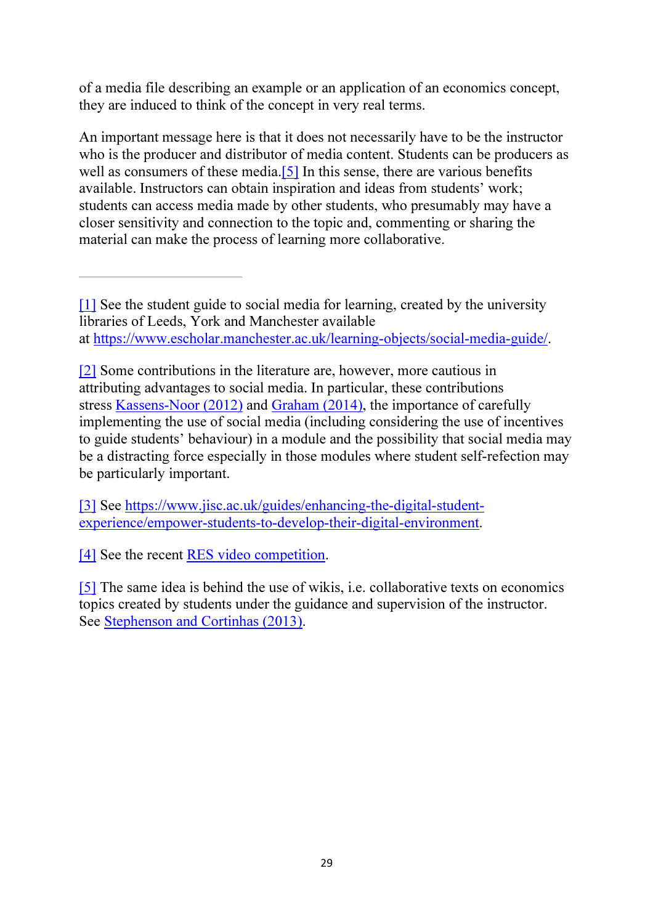of a media file describing an example or an application of an economics concept, they are induced to think of the concept in very real terms.

An important message here is that it does not necessarily have to be the instructor who is the producer and distributor of media content. Students can be producers as well as consumers of these media.<sup>[5]</sup> In this sense, there are various benefits available. Instructors can obtain inspiration and ideas from students' work; students can access media made by other students, who presumably may have a closer sensitivity and connection to the topic and, commenting or sharing the material can make the process of learning more collaborative.

[1] See the student guide to social media for learning, created by the university libraries of Leeds, York and Manchester available at https://www.escholar.manchester.ac.uk/learning-objects/social-media-guide/.

[2] Some contributions in the literature are, however, more cautious in attributing advantages to social media. In particular, these contributions stress Kassens-Noor (2012) and Graham (2014), the importance of carefully implementing the use of social media (including considering the use of incentives to guide students' behaviour) in a module and the possibility that social media may be a distracting force especially in those modules where student self-refection may be particularly important.

[3] See https://www.jisc.ac.uk/guides/enhancing-the-digital-studentexperience/empower-students-to-develop-their-digital-environment.

[4] See the recent RES video competition.

[5] The same idea is behind the use of wikis, i.e. collaborative texts on economics topics created by students under the guidance and supervision of the instructor. See Stephenson and Cortinhas (2013).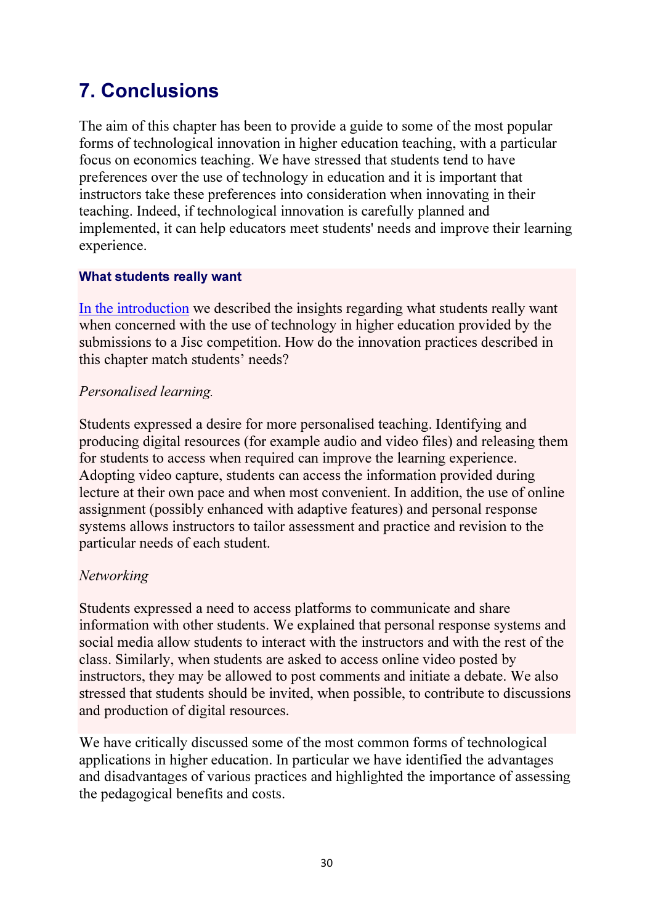# 7. Conclusions

The aim of this chapter has been to provide a guide to some of the most popular forms of technological innovation in higher education teaching, with a particular focus on economics teaching. We have stressed that students tend to have preferences over the use of technology in education and it is important that instructors take these preferences into consideration when innovating in their teaching. Indeed, if technological innovation is carefully planned and implemented, it can help educators meet students' needs and improve their learning experience.

#### What students really want

In the introduction we described the insights regarding what students really want when concerned with the use of technology in higher education provided by the submissions to a Jisc competition. How do the innovation practices described in this chapter match students' needs?

#### *Personalised learning.*

Students expressed a desire for more personalised teaching. Identifying and producing digital resources (for example audio and video files) and releasing them for students to access when required can improve the learning experience. Adopting video capture, students can access the information provided during lecture at their own pace and when most convenient. In addition, the use of online assignment (possibly enhanced with adaptive features) and personal response systems allows instructors to tailor assessment and practice and revision to the particular needs of each student.

### *Networking*

Students expressed a need to access platforms to communicate and share information with other students. We explained that personal response systems and social media allow students to interact with the instructors and with the rest of the class. Similarly, when students are asked to access online video posted by instructors, they may be allowed to post comments and initiate a debate. We also stressed that students should be invited, when possible, to contribute to discussions and production of digital resources.

We have critically discussed some of the most common forms of technological applications in higher education. In particular we have identified the advantages and disadvantages of various practices and highlighted the importance of assessing the pedagogical benefits and costs.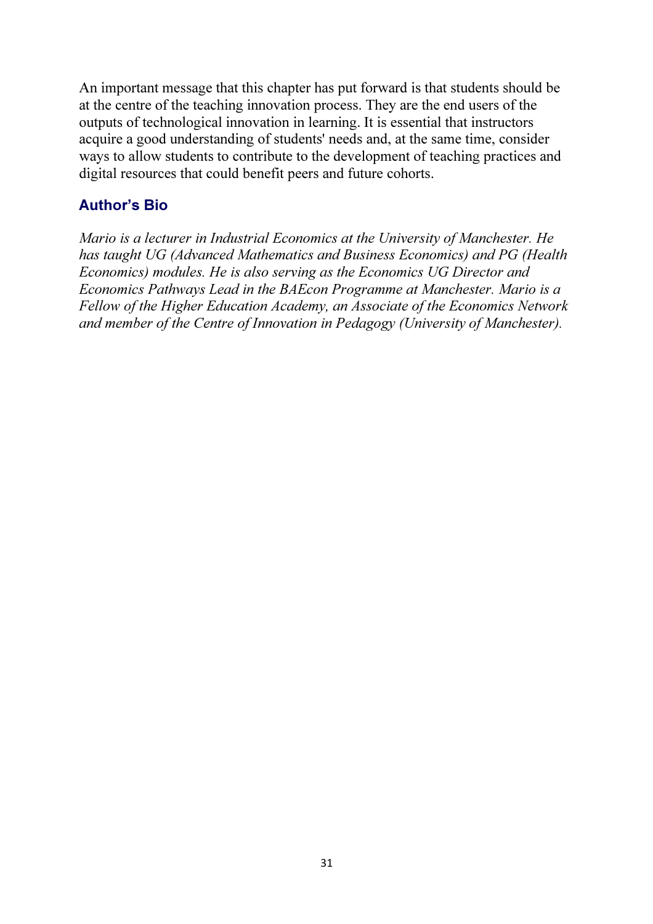An important message that this chapter has put forward is that students should be at the centre of the teaching innovation process. They are the end users of the outputs of technological innovation in learning. It is essential that instructors acquire a good understanding of students' needs and, at the same time, consider ways to allow students to contribute to the development of teaching practices and digital resources that could benefit peers and future cohorts.

### Author's Bio

*Mario is a lecturer in Industrial Economics at the University of Manchester. He has taught UG (Advanced Mathematics and Business Economics) and PG (Health Economics) modules. He is also serving as the Economics UG Director and Economics Pathways Lead in the BAEcon Programme at Manchester. Mario is a Fellow of the Higher Education Academy, an Associate of the Economics Network and member of the Centre of Innovation in Pedagogy (University of Manchester).*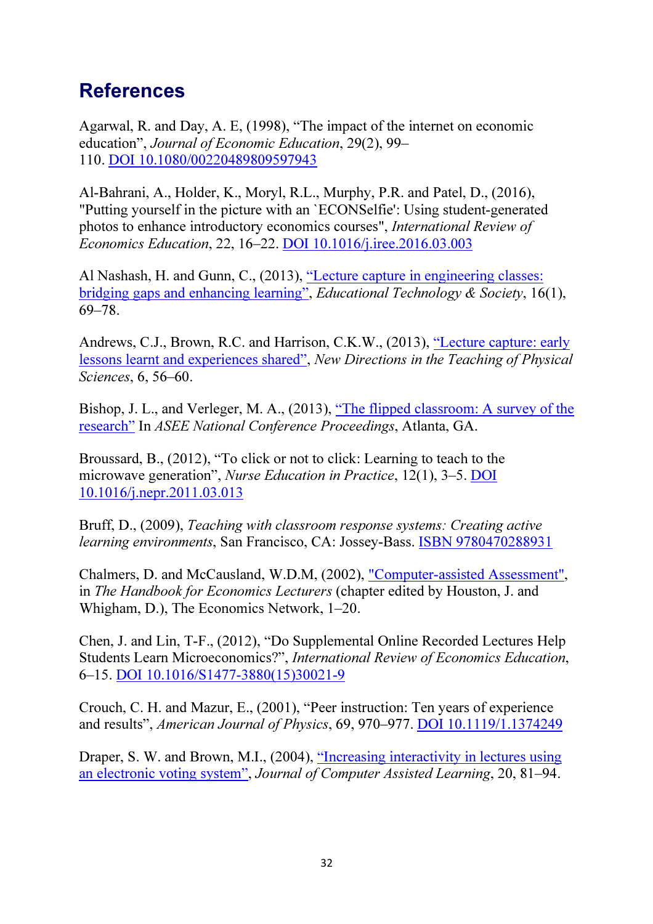# References

Agarwal, R. and Day, A. E, (1998), "The impact of the internet on economic education", *Journal of Economic Education*, 29(2), 99– 110. DOI 10.1080/00220489809597943

Al-Bahrani, A., Holder, K., Moryl, R.L., Murphy, P.R. and Patel, D., (2016), "Putting yourself in the picture with an `ECONSelfie': Using student-generated photos to enhance introductory economics courses", *International Review of Economics Education*, 22, 16–22. DOI 10.1016/j.iree.2016.03.003

Al Nashash, H. and Gunn, C., (2013), "Lecture capture in engineering classes: bridging gaps and enhancing learning", *Educational Technology & Society*, 16(1), 69–78.

Andrews, C.J., Brown, R.C. and Harrison, C.K.W., (2013), "Lecture capture: early lessons learnt and experiences shared", *New Directions in the Teaching of Physical Sciences*, 6, 56–60.

Bishop, J. L., and Verleger, M. A., (2013), "The flipped classroom: A survey of the research" In *ASEE National Conference Proceedings*, Atlanta, GA.

Broussard, B., (2012), "To click or not to click: Learning to teach to the microwave generation", *Nurse Education in Practice*, 12(1), 3–5. DOI 10.1016/j.nepr.2011.03.013

Bruff, D., (2009), *Teaching with classroom response systems: Creating active learning environments, San Francisco, CA: Jossey-Bass. ISBN 9780470288931* 

Chalmers, D. and McCausland, W.D.M, (2002), "Computer-assisted Assessment", in *The Handbook for Economics Lecturers* (chapter edited by Houston, J. and Whigham, D.), The Economics Network, 1–20.

Chen, J. and Lin, T-F., (2012), "Do Supplemental Online Recorded Lectures Help Students Learn Microeconomics?", *International Review of Economics Education*, 6–15. DOI 10.1016/S1477-3880(15)30021-9

Crouch, C. H. and Mazur, E., (2001), "Peer instruction: Ten years of experience and results", *American Journal of Physics*, 69, 970–977. DOI 10.1119/1.1374249

Draper, S. W. and Brown, M.I., (2004), "Increasing interactivity in lectures using an electronic voting system", *Journal of Computer Assisted Learning*, 20, 81–94.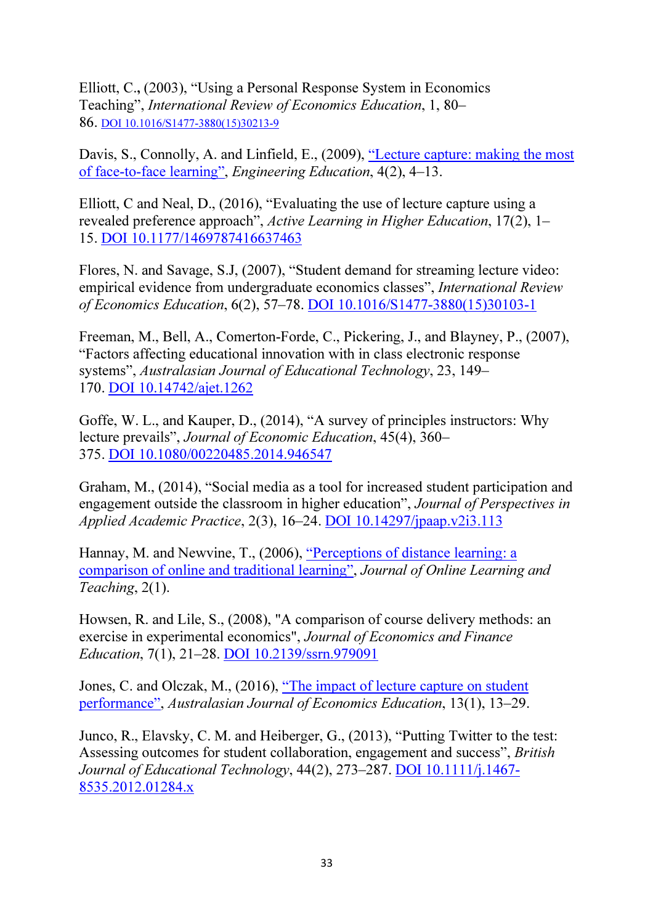Elliott, C., (2003), "Using a Personal Response System in Economics Teaching", *International Review of Economics Education*, 1, 80– 86. DOI 10.1016/S1477-3880(15)30213-9

Davis, S., Connolly, A. and Linfield, E., (2009), "Lecture capture: making the most of face-to-face learning", *Engineering Education*, 4(2), 4–13.

Elliott, C and Neal, D., (2016), "Evaluating the use of lecture capture using a revealed preference approach", *Active Learning in Higher Education*, 17(2), 1– 15. DOI 10.1177/1469787416637463

Flores, N. and Savage, S.J, (2007), "Student demand for streaming lecture video: empirical evidence from undergraduate economics classes", *International Review of Economics Education*, 6(2), 57–78. DOI 10.1016/S1477-3880(15)30103-1

Freeman, M., Bell, A., Comerton-Forde, C., Pickering, J., and Blayney, P., (2007), "Factors affecting educational innovation with in class electronic response systems", *Australasian Journal of Educational Technology*, 23, 149– 170. DOI 10.14742/ajet.1262

Goffe, W. L., and Kauper, D., (2014), "A survey of principles instructors: Why lecture prevails", *Journal of Economic Education*, 45(4), 360– 375. DOI 10.1080/00220485.2014.946547

Graham, M., (2014), "Social media as a tool for increased student participation and engagement outside the classroom in higher education", *Journal of Perspectives in Applied Academic Practice*, 2(3), 16–24. DOI 10.14297/jpaap.v2i3.113

Hannay, M. and Newvine, T., (2006), "Perceptions of distance learning: a comparison of online and traditional learning", *Journal of Online Learning and Teaching*, 2(1).

Howsen, R. and Lile, S., (2008), "A comparison of course delivery methods: an exercise in experimental economics", *Journal of Economics and Finance Education*, 7(1), 21–28. DOI 10.2139/ssrn.979091

Jones, C. and Olczak, M., (2016), "The impact of lecture capture on student performance", *Australasian Journal of Economics Education*, 13(1), 13–29.

Junco, R., Elavsky, C. M. and Heiberger, G., (2013), "Putting Twitter to the test: Assessing outcomes for student collaboration, engagement and success", *British Journal of Educational Technology*, 44(2), 273–287. DOI 10.1111/j.1467- 8535.2012.01284.x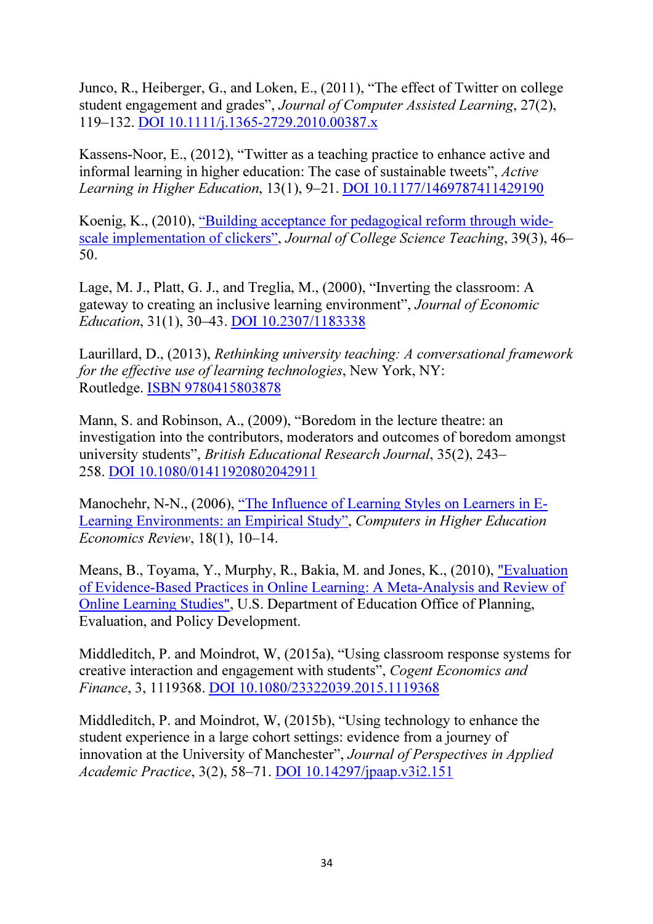Junco, R., Heiberger, G., and Loken, E., (2011), "The effect of Twitter on college student engagement and grades", *Journal of Computer Assisted Learning*, 27(2), 119–132. DOI 10.1111/j.1365-2729.2010.00387.x

Kassens-Noor, E., (2012), "Twitter as a teaching practice to enhance active and informal learning in higher education: The case of sustainable tweets", *Active Learning in Higher Education*, 13(1), 9–21. DOI 10.1177/1469787411429190

Koenig, K., (2010), "Building acceptance for pedagogical reform through widescale implementation of clickers", *Journal of College Science Teaching*, 39(3), 46– 50.

Lage, M. J., Platt, G. J., and Treglia, M., (2000), "Inverting the classroom: A gateway to creating an inclusive learning environment", *Journal of Economic Education*, 31(1), 30–43. DOI 10.2307/1183338

Laurillard, D., (2013), *Rethinking university teaching: A conversational framework for the effective use of learning technologies*, New York, NY: Routledge. ISBN 9780415803878

Mann, S. and Robinson, A., (2009), "Boredom in the lecture theatre: an investigation into the contributors, moderators and outcomes of boredom amongst university students", *British Educational Research Journal*, 35(2), 243– 258. DOI 10.1080/01411920802042911

Manochehr, N-N., (2006), "The Influence of Learning Styles on Learners in E-Learning Environments: an Empirical Study", *Computers in Higher Education Economics Review*, 18(1), 10–14.

Means, B., Toyama, Y., Murphy, R., Bakia, M. and Jones, K., (2010), "Evaluation of Evidence-Based Practices in Online Learning: A Meta-Analysis and Review of Online Learning Studies", U.S. Department of Education Office of Planning, Evaluation, and Policy Development.

Middleditch, P. and Moindrot, W, (2015a), "Using classroom response systems for creative interaction and engagement with students", *Cogent Economics and Finance*, 3, 1119368. DOI 10.1080/23322039.2015.1119368

Middleditch, P. and Moindrot, W, (2015b), "Using technology to enhance the student experience in a large cohort settings: evidence from a journey of innovation at the University of Manchester", *Journal of Perspectives in Applied Academic Practice*, 3(2), 58–71. DOI 10.14297/jpaap.v3i2.151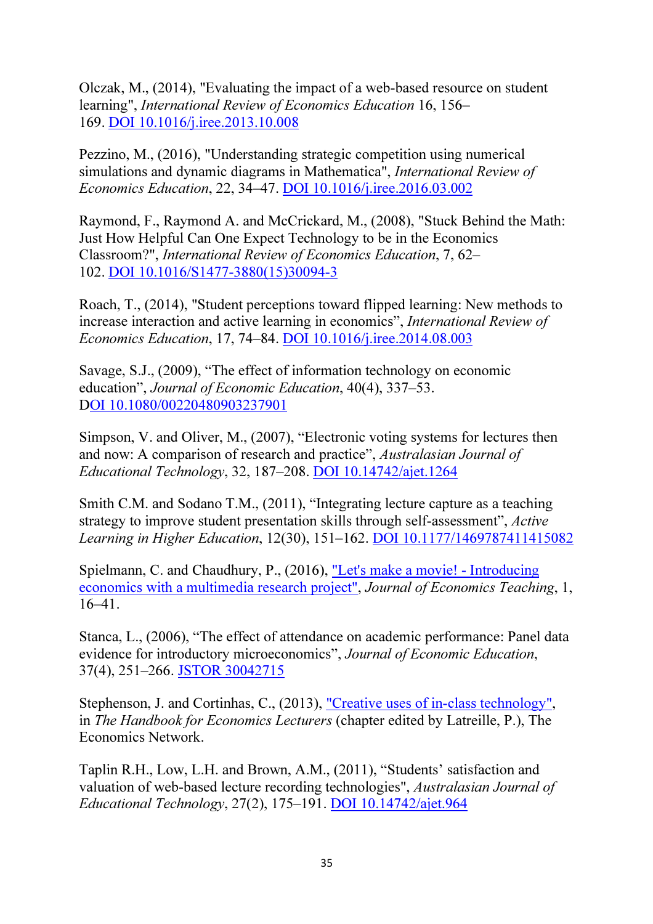Olczak, M., (2014), "Evaluating the impact of a web-based resource on student learning", *International Review of Economics Education* 16, 156– 169. DOI 10.1016/j.iree.2013.10.008

Pezzino, M., (2016), "Understanding strategic competition using numerical simulations and dynamic diagrams in Mathematica", *International Review of Economics Education*, 22, 34–47. DOI 10.1016/j.iree.2016.03.002

Raymond, F., Raymond A. and McCrickard, M., (2008), "Stuck Behind the Math: Just How Helpful Can One Expect Technology to be in the Economics Classroom?", *International Review of Economics Education*, 7, 62– 102. DOI 10.1016/S1477-3880(15)30094-3

Roach, T., (2014), "Student perceptions toward flipped learning: New methods to increase interaction and active learning in economics", *International Review of Economics Education*, 17, 74–84. DOI 10.1016/j.iree.2014.08.003

Savage, S.J., (2009), "The effect of information technology on economic education", *Journal of Economic Education*, 40(4), 337–53. DOI 10.1080/00220480903237901

Simpson, V. and Oliver, M., (2007), "Electronic voting systems for lectures then and now: A comparison of research and practice", *Australasian Journal of Educational Technology*, 32, 187–208. DOI 10.14742/ajet.1264

Smith C.M. and Sodano T.M., (2011), "Integrating lecture capture as a teaching strategy to improve student presentation skills through self-assessment", *Active Learning in Higher Education*, 12(30), 151–162. DOI 10.1177/1469787411415082

Spielmann, C. and Chaudhury, P., (2016), "Let's make a movie! - Introducing economics with a multimedia research project", *Journal of Economics Teaching*, 1, 16–41.

Stanca, L., (2006), "The effect of attendance on academic performance: Panel data evidence for introductory microeconomics", *Journal of Economic Education*, 37(4), 251–266. JSTOR 30042715

Stephenson, J. and Cortinhas, C., (2013), "Creative uses of in-class technology", in *The Handbook for Economics Lecturers* (chapter edited by Latreille, P.), The Economics Network.

Taplin R.H., Low, L.H. and Brown, A.M., (2011), "Students' satisfaction and valuation of web-based lecture recording technologies", *Australasian Journal of Educational Technology*, 27(2), 175–191. DOI 10.14742/ajet.964